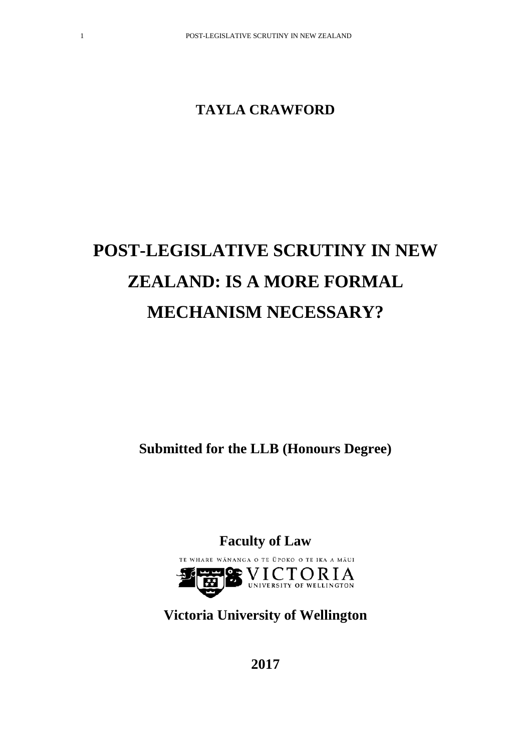# **TAYLA CRAWFORD**

# **POST-LEGISLATIVE SCRUTINY IN NEW ZEALAND: IS A MORE FORMAL MECHANISM NECESSARY?**

**Submitted for the LLB (Honours Degree)**

**Faculty of Law** TE WHARE WĀNANGA O TE ŪPOKO O TE IKA A MĀUI  $V_\text{UNIVERSITY OF WELLINGTON} \$ 10e

**Victoria University of Wellington**

**2017**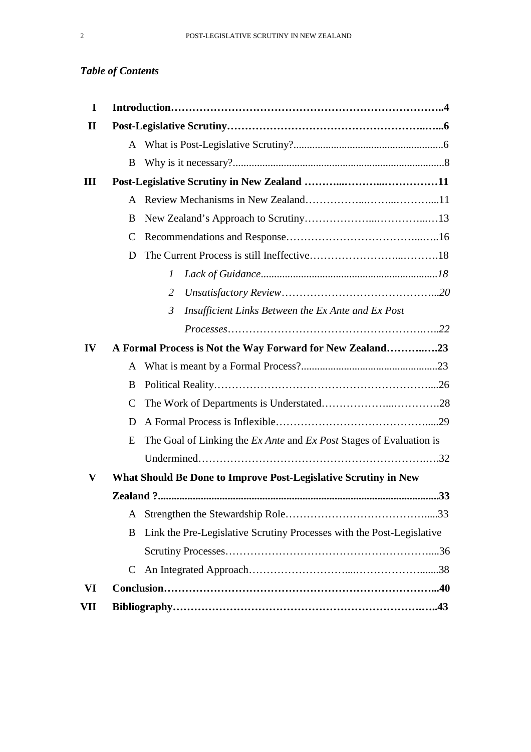# *Table of Contents*

| I            |                                                           |                                                                       |  |
|--------------|-----------------------------------------------------------|-----------------------------------------------------------------------|--|
| $\mathbf{I}$ |                                                           |                                                                       |  |
|              | A                                                         |                                                                       |  |
|              | B                                                         |                                                                       |  |
| Ш            |                                                           |                                                                       |  |
|              | A                                                         |                                                                       |  |
|              | B                                                         |                                                                       |  |
|              | C                                                         |                                                                       |  |
|              | D                                                         |                                                                       |  |
|              |                                                           | 1                                                                     |  |
|              |                                                           | $\overline{2}$                                                        |  |
|              |                                                           | 3<br>Insufficient Links Between the Ex Ante and Ex Post               |  |
|              |                                                           |                                                                       |  |
| IV           | A Formal Process is Not the Way Forward for New Zealand23 |                                                                       |  |
|              | A                                                         |                                                                       |  |
|              | B                                                         |                                                                       |  |
|              | $\mathsf C$                                               |                                                                       |  |
|              | D                                                         |                                                                       |  |
|              | E                                                         | The Goal of Linking the Ex Ante and Ex Post Stages of Evaluation is   |  |
|              |                                                           |                                                                       |  |
| V            |                                                           | What Should Be Done to Improve Post-Legislative Scrutiny in New       |  |
|              |                                                           |                                                                       |  |
|              | A                                                         |                                                                       |  |
|              | B                                                         | Link the Pre-Legislative Scrutiny Processes with the Post-Legislative |  |
|              |                                                           |                                                                       |  |
|              | C                                                         |                                                                       |  |
| VI           |                                                           |                                                                       |  |
| VII          |                                                           |                                                                       |  |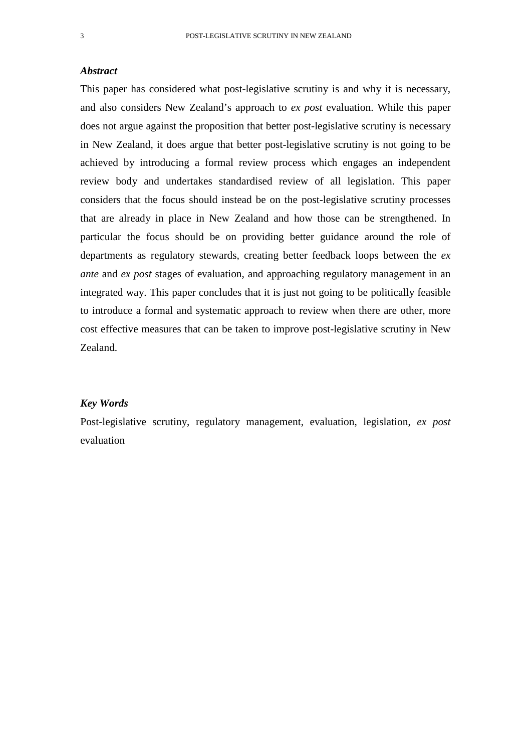#### *Abstract*

This paper has considered what post-legislative scrutiny is and why it is necessary, and also considers New Zealand's approach to *ex post* evaluation. While this paper does not argue against the proposition that better post-legislative scrutiny is necessary in New Zealand, it does argue that better post-legislative scrutiny is not going to be achieved by introducing a formal review process which engages an independent review body and undertakes standardised review of all legislation. This paper considers that the focus should instead be on the post-legislative scrutiny processes that are already in place in New Zealand and how those can be strengthened. In particular the focus should be on providing better guidance around the role of departments as regulatory stewards, creating better feedback loops between the *ex ante* and *ex post* stages of evaluation, and approaching regulatory management in an integrated way. This paper concludes that it is just not going to be politically feasible to introduce a formal and systematic approach to review when there are other, more cost effective measures that can be taken to improve post-legislative scrutiny in New Zealand.

#### *Key Words*

Post-legislative scrutiny, regulatory management, evaluation, legislation, *ex post* evaluation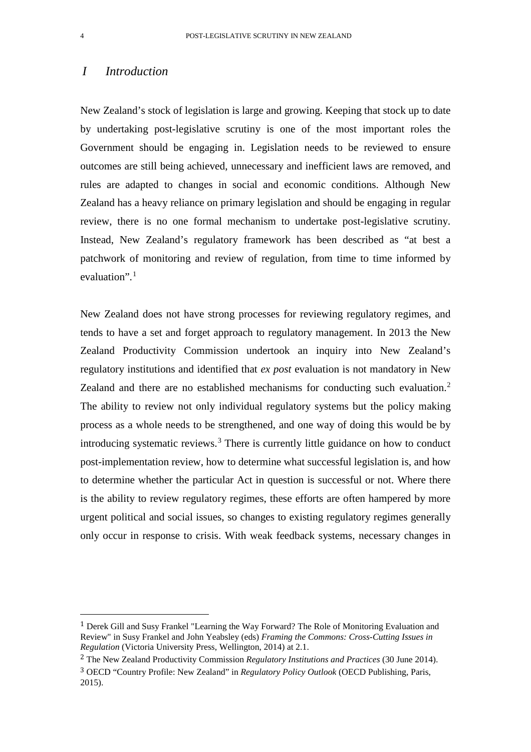# *I Introduction*

New Zealand's stock of legislation is large and growing. Keeping that stock up to date by undertaking post-legislative scrutiny is one of the most important roles the Government should be engaging in. Legislation needs to be reviewed to ensure outcomes are still being achieved, unnecessary and inefficient laws are removed, and rules are adapted to changes in social and economic conditions. Although New Zealand has a heavy reliance on primary legislation and should be engaging in regular review, there is no one formal mechanism to undertake post-legislative scrutiny. Instead, New Zealand's regulatory framework has been described as "at best a patchwork of monitoring and review of regulation, from time to time informed by evaluation".<sup>[1](#page-3-0)</sup>

New Zealand does not have strong processes for reviewing regulatory regimes, and tends to have a set and forget approach to regulatory management. In 2013 the New Zealand Productivity Commission undertook an inquiry into New Zealand's regulatory institutions and identified that *ex post* evaluation is not mandatory in New Zealand and there are no established mechanisms for conducting such evaluation.<sup>[2](#page-3-1)</sup> The ability to review not only individual regulatory systems but the policy making process as a whole needs to be strengthened, and one way of doing this would be by introducing systematic reviews.<sup>[3](#page-3-2)</sup> There is currently little guidance on how to conduct post-implementation review, how to determine what successful legislation is, and how to determine whether the particular Act in question is successful or not. Where there is the ability to review regulatory regimes, these efforts are often hampered by more urgent political and social issues, so changes to existing regulatory regimes generally only occur in response to crisis. With weak feedback systems, necessary changes in

<span id="page-3-0"></span> <sup>1</sup> Derek Gill and Susy Frankel "Learning the Way Forward? The Role of Monitoring Evaluation and Review" in Susy Frankel and John Yeabsley (eds) *Framing the Commons: Cross-Cutting Issues in Regulation* (Victoria University Press, Wellington, 2014) at 2.1.

<span id="page-3-1"></span><sup>2</sup> The New Zealand Productivity Commission *Regulatory Institutions and Practices* (30 June 2014).

<span id="page-3-2"></span><sup>3</sup> OECD "Country Profile: New Zealand" in *Regulatory Policy Outlook* (OECD Publishing, Paris, 2015).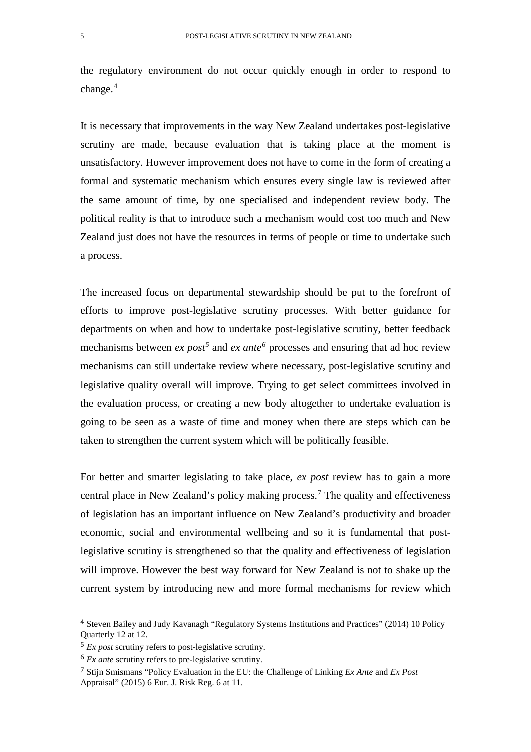the regulatory environment do not occur quickly enough in order to respond to change.[4](#page-4-0)

It is necessary that improvements in the way New Zealand undertakes post-legislative scrutiny are made, because evaluation that is taking place at the moment is unsatisfactory. However improvement does not have to come in the form of creating a formal and systematic mechanism which ensures every single law is reviewed after the same amount of time, by one specialised and independent review body. The political reality is that to introduce such a mechanism would cost too much and New Zealand just does not have the resources in terms of people or time to undertake such a process.

The increased focus on departmental stewardship should be put to the forefront of efforts to improve post-legislative scrutiny processes. With better guidance for departments on when and how to undertake post-legislative scrutiny, better feedback mechanisms between *ex post<sup>[5](#page-4-1)</sup>* and *ex ante<sup>[6](#page-4-2)</sup>* processes and ensuring that ad hoc review mechanisms can still undertake review where necessary, post-legislative scrutiny and legislative quality overall will improve. Trying to get select committees involved in the evaluation process, or creating a new body altogether to undertake evaluation is going to be seen as a waste of time and money when there are steps which can be taken to strengthen the current system which will be politically feasible.

For better and smarter legislating to take place, *ex post* review has to gain a more central place in New Zealand's policy making process.[7](#page-4-3) The quality and effectiveness of legislation has an important influence on New Zealand's productivity and broader economic, social and environmental wellbeing and so it is fundamental that postlegislative scrutiny is strengthened so that the quality and effectiveness of legislation will improve. However the best way forward for New Zealand is not to shake up the current system by introducing new and more formal mechanisms for review which

<span id="page-4-0"></span> <sup>4</sup> Steven Bailey and Judy Kavanagh "Regulatory Systems Institutions and Practices" (2014) 10 Policy Quarterly 12 at 12.

<span id="page-4-1"></span><sup>5</sup> *Ex post* scrutiny refers to post-legislative scrutiny.

<span id="page-4-2"></span><sup>6</sup> *Ex ante* scrutiny refers to pre-legislative scrutiny.

<span id="page-4-3"></span><sup>7</sup> Stijn Smismans "Policy Evaluation in the EU: the Challenge of Linking *Ex Ante* and *Ex Post*  Appraisal" (2015) 6 Eur. J. Risk Reg. 6 at 11.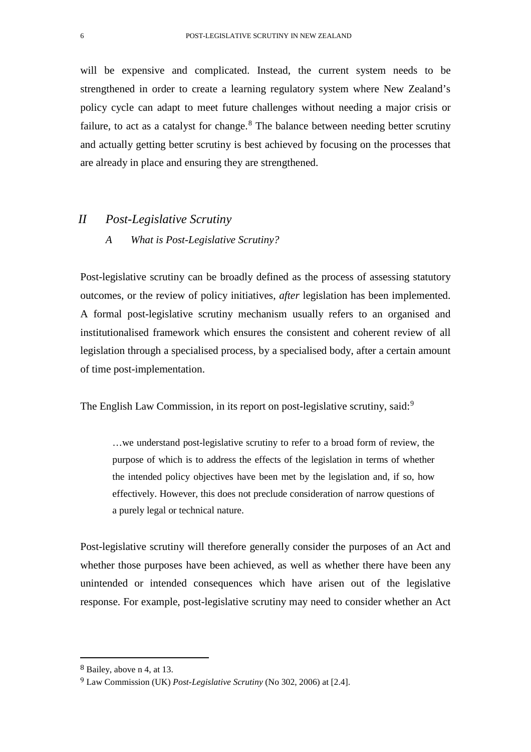will be expensive and complicated. Instead, the current system needs to be strengthened in order to create a learning regulatory system where New Zealand's policy cycle can adapt to meet future challenges without needing a major crisis or failure, to act as a catalyst for change. $8$  The balance between needing better scrutiny and actually getting better scrutiny is best achieved by focusing on the processes that are already in place and ensuring they are strengthened.

### *II Post-Legislative Scrutiny*

### *A What is Post-Legislative Scrutiny?*

Post-legislative scrutiny can be broadly defined as the process of assessing statutory outcomes, or the review of policy initiatives, *after* legislation has been implemented. A formal post-legislative scrutiny mechanism usually refers to an organised and institutionalised framework which ensures the consistent and coherent review of all legislation through a specialised process, by a specialised body, after a certain amount of time post-implementation.

The English Law Commission, in its report on post-legislative scrutiny, said:<sup>[9](#page-5-1)</sup>

…we understand post-legislative scrutiny to refer to a broad form of review, the purpose of which is to address the effects of the legislation in terms of whether the intended policy objectives have been met by the legislation and, if so, how effectively. However, this does not preclude consideration of narrow questions of a purely legal or technical nature.

Post-legislative scrutiny will therefore generally consider the purposes of an Act and whether those purposes have been achieved, as well as whether there have been any unintended or intended consequences which have arisen out of the legislative response. For example, post-legislative scrutiny may need to consider whether an Act

<span id="page-5-0"></span> <sup>8</sup> Bailey, above n 4, at 13.

<span id="page-5-1"></span><sup>9</sup> Law Commission (UK) *Post-Legislative Scrutiny* (No 302, 2006) at [2.4].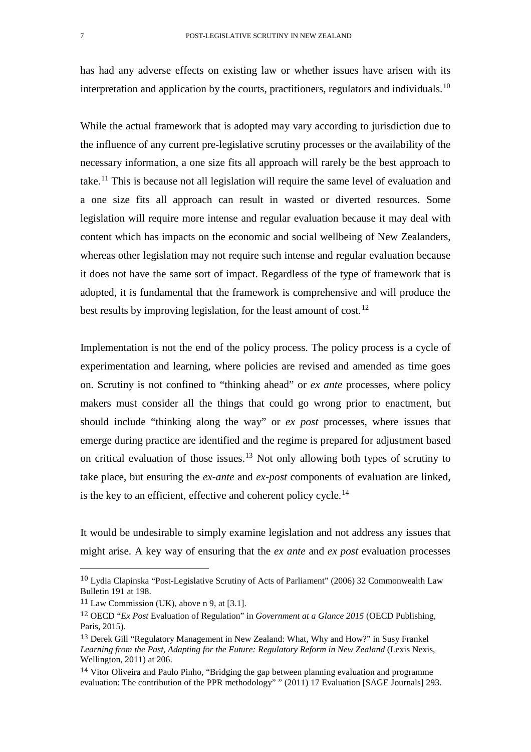has had any adverse effects on existing law or whether issues have arisen with its interpretation and application by the courts, practitioners, regulators and individuals.<sup>[10](#page-6-0)</sup>

While the actual framework that is adopted may vary according to jurisdiction due to the influence of any current pre-legislative scrutiny processes or the availability of the necessary information, a one size fits all approach will rarely be the best approach to take.[11](#page-6-1) This is because not all legislation will require the same level of evaluation and a one size fits all approach can result in wasted or diverted resources. Some legislation will require more intense and regular evaluation because it may deal with content which has impacts on the economic and social wellbeing of New Zealanders, whereas other legislation may not require such intense and regular evaluation because it does not have the same sort of impact. Regardless of the type of framework that is adopted, it is fundamental that the framework is comprehensive and will produce the best results by improving legislation, for the least amount of cost.<sup>[12](#page-6-2)</sup>

Implementation is not the end of the policy process. The policy process is a cycle of experimentation and learning, where policies are revised and amended as time goes on. Scrutiny is not confined to "thinking ahead" or *ex ante* processes, where policy makers must consider all the things that could go wrong prior to enactment, but should include "thinking along the way" or *ex post* processes, where issues that emerge during practice are identified and the regime is prepared for adjustment based on critical evaluation of those issues.<sup>[13](#page-6-3)</sup> Not only allowing both types of scrutiny to take place, but ensuring the *ex-ante* and *ex-post* components of evaluation are linked, is the key to an efficient, effective and coherent policy cycle.<sup>[14](#page-6-4)</sup>

It would be undesirable to simply examine legislation and not address any issues that might arise. A key way of ensuring that the *ex ante* and *ex post* evaluation processes

<span id="page-6-0"></span> <sup>10</sup> Lydia Clapinska "Post-Legislative Scrutiny of Acts of Parliament" (2006) 32 Commonwealth Law Bulletin 191 at 198.

<span id="page-6-1"></span> $11$  Law Commission (UK), above n 9, at [3.1].

<span id="page-6-2"></span><sup>12</sup> OECD "*Ex Post* Evaluation of Regulation" in *Government at a Glance 2015* (OECD Publishing, Paris, 2015).

<span id="page-6-3"></span><sup>13</sup> Derek Gill "Regulatory Management in New Zealand: What, Why and How?" in Susy Frankel *Learning from the Past, Adapting for the Future: Regulatory Reform in New Zealand* (Lexis Nexis, Wellington, 2011) at 206.

<span id="page-6-4"></span><sup>14</sup> Vitor Oliveira and Paulo Pinho, "Bridging the gap between planning evaluation and programme evaluation: The contribution of the PPR methodology" " (2011) 17 Evaluation [SAGE Journals] 293.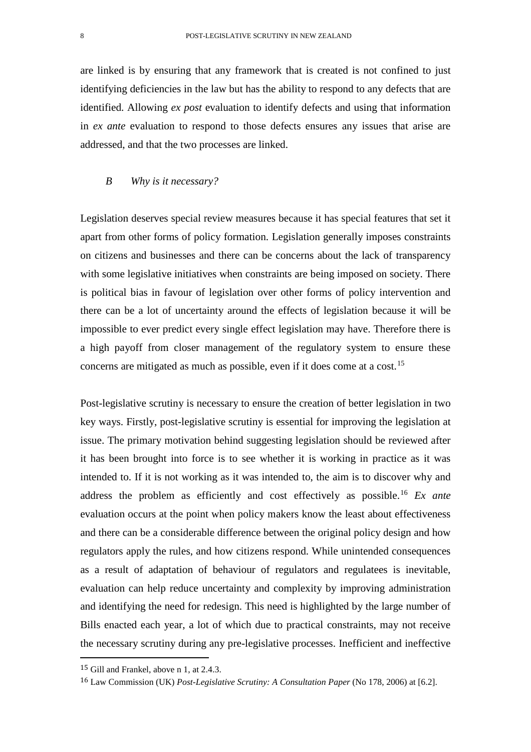are linked is by ensuring that any framework that is created is not confined to just identifying deficiencies in the law but has the ability to respond to any defects that are identified. Allowing *ex post* evaluation to identify defects and using that information in *ex ante* evaluation to respond to those defects ensures any issues that arise are addressed, and that the two processes are linked.

### *B Why is it necessary?*

Legislation deserves special review measures because it has special features that set it apart from other forms of policy formation. Legislation generally imposes constraints on citizens and businesses and there can be concerns about the lack of transparency with some legislative initiatives when constraints are being imposed on society. There is political bias in favour of legislation over other forms of policy intervention and there can be a lot of uncertainty around the effects of legislation because it will be impossible to ever predict every single effect legislation may have. Therefore there is a high payoff from closer management of the regulatory system to ensure these concerns are mitigated as much as possible, even if it does come at a cost.<sup>[15](#page-7-0)</sup>

Post-legislative scrutiny is necessary to ensure the creation of better legislation in two key ways. Firstly, post-legislative scrutiny is essential for improving the legislation at issue. The primary motivation behind suggesting legislation should be reviewed after it has been brought into force is to see whether it is working in practice as it was intended to. If it is not working as it was intended to, the aim is to discover why and address the problem as efficiently and cost effectively as possible.[16](#page-7-1) *Ex ante* evaluation occurs at the point when policy makers know the least about effectiveness and there can be a considerable difference between the original policy design and how regulators apply the rules, and how citizens respond. While unintended consequences as a result of adaptation of behaviour of regulators and regulatees is inevitable, evaluation can help reduce uncertainty and complexity by improving administration and identifying the need for redesign. This need is highlighted by the large number of Bills enacted each year, a lot of which due to practical constraints, may not receive the necessary scrutiny during any pre-legislative processes. Inefficient and ineffective

<span id="page-7-0"></span> <sup>15</sup> Gill and Frankel, above n 1, at 2.4.3.

<span id="page-7-1"></span><sup>16</sup> Law Commission (UK) *Post-Legislative Scrutiny: A Consultation Paper* (No 178, 2006) at [6.2].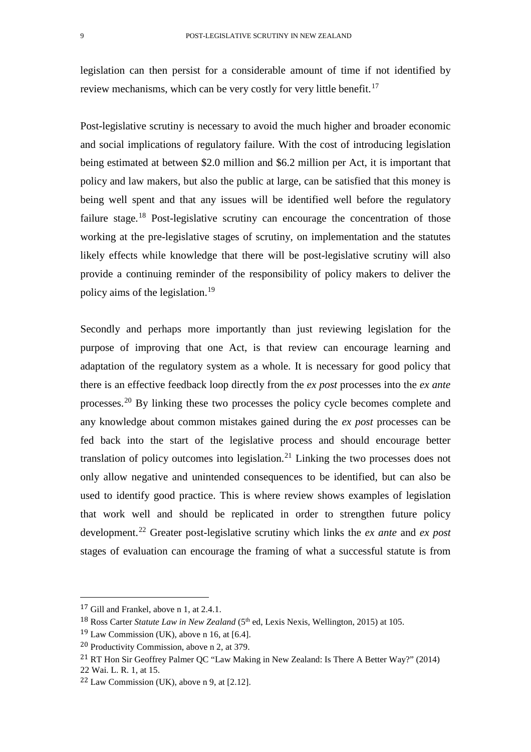legislation can then persist for a considerable amount of time if not identified by review mechanisms, which can be very costly for very little benefit.<sup>[17](#page-8-0)</sup>

Post-legislative scrutiny is necessary to avoid the much higher and broader economic and social implications of regulatory failure. With the cost of introducing legislation being estimated at between \$2.0 million and \$6.2 million per Act, it is important that policy and law makers, but also the public at large, can be satisfied that this money is being well spent and that any issues will be identified well before the regulatory failure stage.<sup>[18](#page-8-1)</sup> Post-legislative scrutiny can encourage the concentration of those working at the pre-legislative stages of scrutiny, on implementation and the statutes likely effects while knowledge that there will be post-legislative scrutiny will also provide a continuing reminder of the responsibility of policy makers to deliver the policy aims of the legislation.[19](#page-8-2)

Secondly and perhaps more importantly than just reviewing legislation for the purpose of improving that one Act, is that review can encourage learning and adaptation of the regulatory system as a whole. It is necessary for good policy that there is an effective feedback loop directly from the *ex post* processes into the *ex ante* processes.[20](#page-8-3) By linking these two processes the policy cycle becomes complete and any knowledge about common mistakes gained during the *ex post* processes can be fed back into the start of the legislative process and should encourage better translation of policy outcomes into legislation.<sup>[21](#page-8-4)</sup> Linking the two processes does not only allow negative and unintended consequences to be identified, but can also be used to identify good practice. This is where review shows examples of legislation that work well and should be replicated in order to strengthen future policy development.[22](#page-8-5) Greater post-legislative scrutiny which links the *ex ante* and *ex post*  stages of evaluation can encourage the framing of what a successful statute is from

<span id="page-8-0"></span> <sup>17</sup> Gill and Frankel, above n 1, at 2.4.1.

<span id="page-8-1"></span><sup>&</sup>lt;sup>18</sup> Ross Carter *Statute Law in New Zealand* (5<sup>th</sup> ed, Lexis Nexis, Wellington, 2015) at 105.

<span id="page-8-2"></span> $19$  Law Commission (UK), above n 16, at [6.4].

<span id="page-8-3"></span><sup>20</sup> Productivity Commission, above n 2, at 379.

<span id="page-8-4"></span><sup>21</sup> RT Hon Sir Geoffrey Palmer QC "Law Making in New Zealand: Is There A Better Way?" (2014) 22 Wai. L. R. 1, at 15.

<span id="page-8-5"></span><sup>22</sup> Law Commission (UK), above n 9, at [2.12].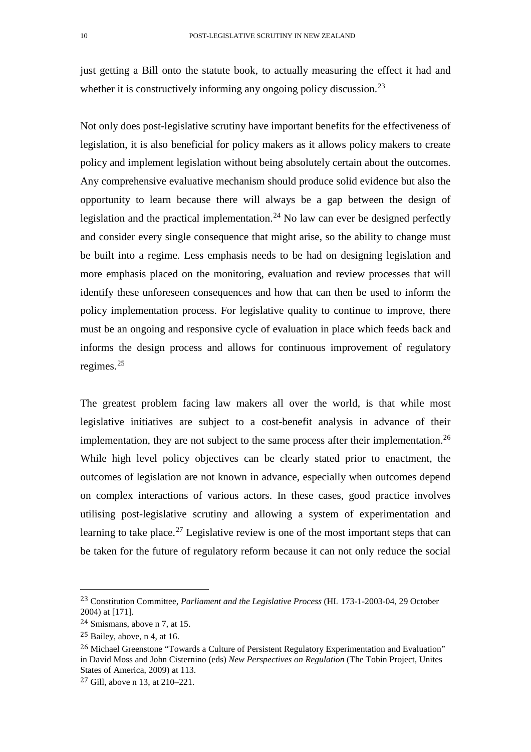just getting a Bill onto the statute book, to actually measuring the effect it had and whether it is constructively informing any ongoing policy discussion.<sup>[23](#page-9-0)</sup>

Not only does post-legislative scrutiny have important benefits for the effectiveness of legislation, it is also beneficial for policy makers as it allows policy makers to create policy and implement legislation without being absolutely certain about the outcomes. Any comprehensive evaluative mechanism should produce solid evidence but also the opportunity to learn because there will always be a gap between the design of legislation and the practical implementation.<sup>[24](#page-9-1)</sup> No law can ever be designed perfectly and consider every single consequence that might arise, so the ability to change must be built into a regime. Less emphasis needs to be had on designing legislation and more emphasis placed on the monitoring, evaluation and review processes that will identify these unforeseen consequences and how that can then be used to inform the policy implementation process. For legislative quality to continue to improve, there must be an ongoing and responsive cycle of evaluation in place which feeds back and informs the design process and allows for continuous improvement of regulatory regimes.[25](#page-9-2)

The greatest problem facing law makers all over the world, is that while most legislative initiatives are subject to a cost-benefit analysis in advance of their implementation, they are not subject to the same process after their implementation.<sup>26</sup> While high level policy objectives can be clearly stated prior to enactment, the outcomes of legislation are not known in advance, especially when outcomes depend on complex interactions of various actors. In these cases, good practice involves utilising post-legislative scrutiny and allowing a system of experimentation and learning to take place.<sup>[27](#page-9-4)</sup> Legislative review is one of the most important steps that can be taken for the future of regulatory reform because it can not only reduce the social

<span id="page-9-0"></span> <sup>23</sup> Constitution Committee, *Parliament and the Legislative Process* (HL 173-1-2003-04, 29 October 2004) at [171].

<span id="page-9-1"></span><sup>24</sup> Smismans, above n 7, at 15.

<span id="page-9-2"></span><sup>25</sup> Bailey, above, n 4, at 16.

<span id="page-9-3"></span><sup>26</sup> Michael Greenstone "Towards a Culture of Persistent Regulatory Experimentation and Evaluation" in David Moss and John Cisternino (eds) *New Perspectives on Regulation* (The Tobin Project, Unites States of America, 2009) at 113.

<span id="page-9-4"></span><sup>27</sup> Gill, above n 13, at 210–221.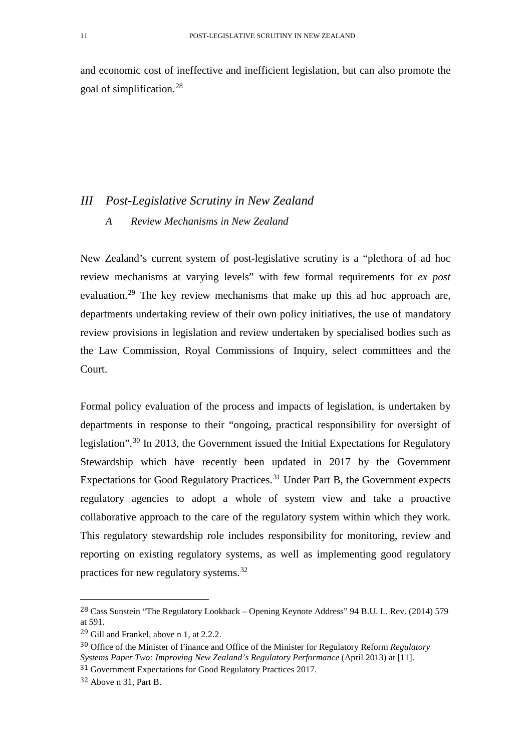and economic cost of ineffective and inefficient legislation, but can also promote the goal of simplification.[28](#page-10-0)

# *III Post-Legislative Scrutiny in New Zealand A Review Mechanisms in New Zealand*

New Zealand's current system of post-legislative scrutiny is a "plethora of ad hoc review mechanisms at varying levels" with few formal requirements for *ex post*  evaluation.<sup>[29](#page-10-1)</sup> The key review mechanisms that make up this ad hoc approach are, departments undertaking review of their own policy initiatives, the use of mandatory review provisions in legislation and review undertaken by specialised bodies such as the Law Commission, Royal Commissions of Inquiry, select committees and the Court.

Formal policy evaluation of the process and impacts of legislation, is undertaken by departments in response to their "ongoing, practical responsibility for oversight of legislation".[30](#page-10-2) In 2013, the Government issued the Initial Expectations for Regulatory Stewardship which have recently been updated in 2017 by the Government Expectations for Good Regulatory Practices.<sup>[31](#page-10-3)</sup> Under Part B, the Government expects regulatory agencies to adopt a whole of system view and take a proactive collaborative approach to the care of the regulatory system within which they work. This regulatory stewardship role includes responsibility for monitoring, review and reporting on existing regulatory systems, as well as implementing good regulatory practices for new regulatory systems.[32](#page-10-4) 

<span id="page-10-0"></span> <sup>28</sup> Cass Sunstein "The Regulatory Lookback – Opening Keynote Address" 94 B.U. L. Rev. (2014) 579 at 591.

<span id="page-10-1"></span><sup>29</sup> Gill and Frankel, above n 1, at 2.2.2.

<span id="page-10-2"></span><sup>30</sup> Office of the Minister of Finance and Office of the Minister for Regulatory Reform *Regulatory Systems Paper Two: Improving New Zealand's Regulatory Performance* (April 2013) at [11].

<span id="page-10-3"></span><sup>31</sup> Government Expectations for Good Regulatory Practices 2017.

<span id="page-10-4"></span><sup>32</sup> Above n 31, Part B.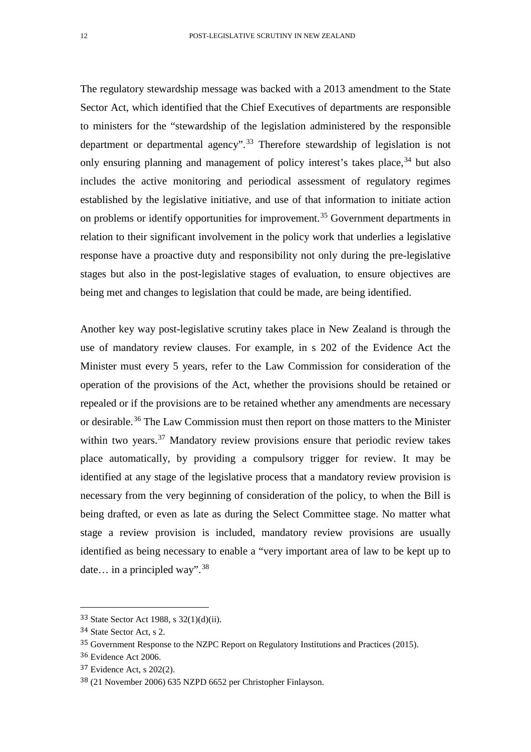The regulatory stewardship message was backed with a 2013 amendment to the State Sector Act, which identified that the Chief Executives of departments are responsible to ministers for the "stewardship of the legislation administered by the responsible department or departmental agency".[33](#page-11-0) Therefore stewardship of legislation is not only ensuring planning and management of policy interest's takes place,  $34$  but also includes the active monitoring and periodical assessment of regulatory regimes established by the legislative initiative, and use of that information to initiate action on problems or identify opportunities for improvement.<sup>[35](#page-11-2)</sup> Government departments in relation to their significant involvement in the policy work that underlies a legislative response have a proactive duty and responsibility not only during the pre-legislative stages but also in the post-legislative stages of evaluation, to ensure objectives are being met and changes to legislation that could be made, are being identified.

Another key way post-legislative scrutiny takes place in New Zealand is through the use of mandatory review clauses. For example, in s 202 of the Evidence Act the Minister must every 5 years, refer to the Law Commission for consideration of the operation of the provisions of the Act, whether the provisions should be retained or repealed or if the provisions are to be retained whether any amendments are necessary or desirable.<sup>[36](#page-11-3)</sup> The Law Commission must then report on those matters to the Minister within two years. $37$  Mandatory review provisions ensure that periodic review takes place automatically, by providing a compulsory trigger for review. It may be identified at any stage of the legislative process that a mandatory review provision is necessary from the very beginning of consideration of the policy, to when the Bill is being drafted, or even as late as during the Select Committee stage. No matter what stage a review provision is included, mandatory review provisions are usually identified as being necessary to enable a "very important area of law to be kept up to date... in a principled way".<sup>[38](#page-11-5)</sup>

<span id="page-11-0"></span> <sup>33</sup> State Sector Act 1988, s 32(1)(d)(ii).

<span id="page-11-1"></span><sup>34</sup> State Sector Act, s 2.

<span id="page-11-2"></span><sup>35</sup> Government Response to the NZPC Report on Regulatory Institutions and Practices (2015).

<span id="page-11-3"></span><sup>36</sup> Evidence Act 2006.

<span id="page-11-4"></span><sup>37</sup> Evidence Act, s 202(2).

<span id="page-11-5"></span><sup>38</sup> (21 November 2006) 635 NZPD 6652 per Christopher Finlayson.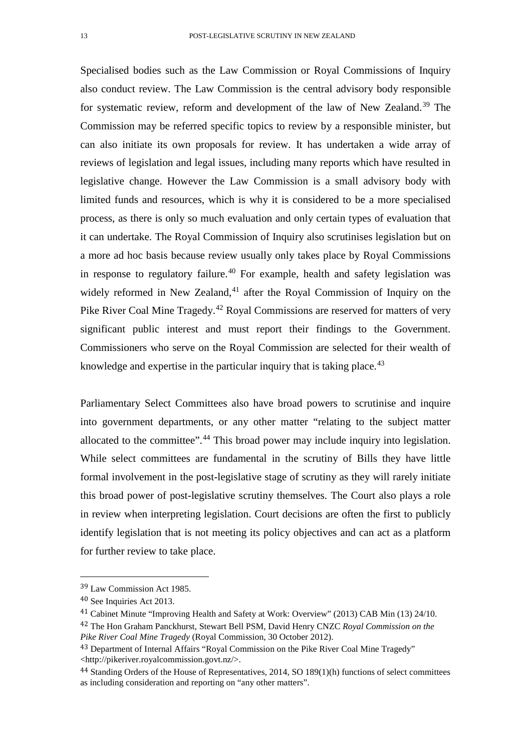Specialised bodies such as the Law Commission or Royal Commissions of Inquiry also conduct review. The Law Commission is the central advisory body responsible for systematic review, reform and development of the law of New Zealand.<sup>[39](#page-12-0)</sup> The Commission may be referred specific topics to review by a responsible minister, but can also initiate its own proposals for review. It has undertaken a wide array of reviews of legislation and legal issues, including many reports which have resulted in legislative change. However the Law Commission is a small advisory body with limited funds and resources, which is why it is considered to be a more specialised process, as there is only so much evaluation and only certain types of evaluation that it can undertake. The Royal Commission of Inquiry also scrutinises legislation but on a more ad hoc basis because review usually only takes place by Royal Commissions in response to regulatory failure.<sup>[40](#page-12-1)</sup> For example, health and safety legislation was widely reformed in New Zealand, $41$  after the Royal Commission of Inquiry on the Pike River Coal Mine Tragedy.<sup>[42](#page-12-3)</sup> Royal Commissions are reserved for matters of very significant public interest and must report their findings to the Government. Commissioners who serve on the Royal Commission are selected for their wealth of knowledge and expertise in the particular inquiry that is taking place.<sup>[43](#page-12-4)</sup>

Parliamentary Select Committees also have broad powers to scrutinise and inquire into government departments, or any other matter "relating to the subject matter allocated to the committee".[44](#page-12-5) This broad power may include inquiry into legislation. While select committees are fundamental in the scrutiny of Bills they have little formal involvement in the post-legislative stage of scrutiny as they will rarely initiate this broad power of post-legislative scrutiny themselves. The Court also plays a role in review when interpreting legislation. Court decisions are often the first to publicly identify legislation that is not meeting its policy objectives and can act as a platform for further review to take place.

<span id="page-12-0"></span> <sup>39</sup> Law Commission Act 1985.

<span id="page-12-1"></span><sup>40</sup> See Inquiries Act 2013.

<span id="page-12-2"></span><sup>41</sup> Cabinet Minute "Improving Health and Safety at Work: Overview" (2013) CAB Min (13) 24/10.

<span id="page-12-3"></span><sup>42</sup> The Hon Graham Panckhurst, Stewart Bell PSM, David Henry CNZC *Royal Commission on the Pike River Coal Mine Tragedy* (Royal Commission, 30 October 2012).

<span id="page-12-4"></span><sup>43</sup> Department of Internal Affairs "Royal Commission on the Pike River Coal Mine Tragedy" <http://pikeriver.royalcommission.govt.nz/>.

<span id="page-12-5"></span><sup>44</sup> Standing Orders of the House of Representatives, 2014, SO 189(1)(h) functions of select committees as including consideration and reporting on "any other matters".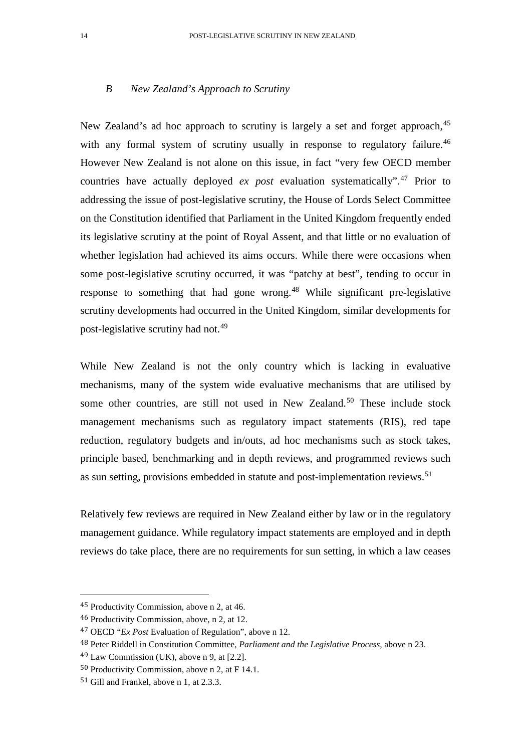### *B New Zealand's Approach to Scrutiny*

New Zealand's ad hoc approach to scrutiny is largely a set and forget approach.<sup>[45](#page-13-0)</sup> with any formal system of scrutiny usually in response to regulatory failure.<sup>[46](#page-13-1)</sup> However New Zealand is not alone on this issue, in fact "very few OECD member countries have actually deployed *ex post* evaluation systematically".[47](#page-13-2) Prior to addressing the issue of post-legislative scrutiny, the House of Lords Select Committee on the Constitution identified that Parliament in the United Kingdom frequently ended its legislative scrutiny at the point of Royal Assent, and that little or no evaluation of whether legislation had achieved its aims occurs. While there were occasions when some post-legislative scrutiny occurred, it was "patchy at best", tending to occur in response to something that had gone wrong.<sup>[48](#page-13-3)</sup> While significant pre-legislative scrutiny developments had occurred in the United Kingdom, similar developments for post-legislative scrutiny had not.[49](#page-13-4)

While New Zealand is not the only country which is lacking in evaluative mechanisms, many of the system wide evaluative mechanisms that are utilised by some other countries, are still not used in New Zealand.<sup>[50](#page-13-5)</sup> These include stock management mechanisms such as regulatory impact statements (RIS), red tape reduction, regulatory budgets and in/outs, ad hoc mechanisms such as stock takes, principle based, benchmarking and in depth reviews, and programmed reviews such as sun setting, provisions embedded in statute and post-implementation reviews.<sup>[51](#page-13-6)</sup>

Relatively few reviews are required in New Zealand either by law or in the regulatory management guidance. While regulatory impact statements are employed and in depth reviews do take place, there are no requirements for sun setting, in which a law ceases

<span id="page-13-0"></span> <sup>45</sup> Productivity Commission, above n 2, at 46.

<span id="page-13-1"></span><sup>46</sup> Productivity Commission, above, n 2, at 12.

<span id="page-13-2"></span><sup>47</sup> OECD "*Ex Post* Evaluation of Regulation", above n 12.

<span id="page-13-4"></span><span id="page-13-3"></span><sup>48</sup> Peter Riddell in Constitution Committee, *Parliament and the Legislative Process,* above n 23.

 $49$  Law Commission (UK), above n 9, at [2.2].

<span id="page-13-5"></span><sup>50</sup> Productivity Commission*,* above n 2, at F 14.1.

<span id="page-13-6"></span><sup>51</sup> Gill and Frankel, above n 1, at 2.3.3.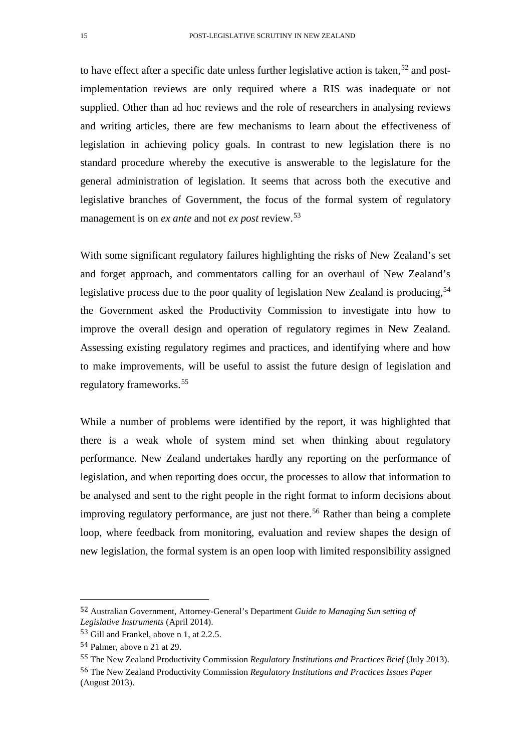to have effect after a specific date unless further legislative action is taken, $52$  and postimplementation reviews are only required where a RIS was inadequate or not supplied. Other than ad hoc reviews and the role of researchers in analysing reviews and writing articles, there are few mechanisms to learn about the effectiveness of legislation in achieving policy goals. In contrast to new legislation there is no standard procedure whereby the executive is answerable to the legislature for the general administration of legislation. It seems that across both the executive and legislative branches of Government, the focus of the formal system of regulatory management is on *ex ante* and not *ex post* review. [53](#page-14-1)

With some significant regulatory failures highlighting the risks of New Zealand's set and forget approach, and commentators calling for an overhaul of New Zealand's legislative process due to the poor quality of legislation New Zealand is producing,  $54$ the Government asked the Productivity Commission to investigate into how to improve the overall design and operation of regulatory regimes in New Zealand. Assessing existing regulatory regimes and practices, and identifying where and how to make improvements, will be useful to assist the future design of legislation and regulatory frameworks.[55](#page-14-3)

While a number of problems were identified by the report, it was highlighted that there is a weak whole of system mind set when thinking about regulatory performance. New Zealand undertakes hardly any reporting on the performance of legislation, and when reporting does occur, the processes to allow that information to be analysed and sent to the right people in the right format to inform decisions about improving regulatory performance, are just not there.<sup>[56](#page-14-4)</sup> Rather than being a complete loop, where feedback from monitoring, evaluation and review shapes the design of new legislation, the formal system is an open loop with limited responsibility assigned

<span id="page-14-0"></span> <sup>52</sup> Australian Government, Attorney-General's Department *Guide to Managing Sun setting of Legislative Instruments* (April 2014).

<span id="page-14-1"></span><sup>53</sup> Gill and Frankel, above n 1, at 2.2.5.

<span id="page-14-2"></span><sup>54</sup> Palmer, above n 21 at 29.

<span id="page-14-4"></span><span id="page-14-3"></span><sup>55</sup> The New Zealand Productivity Commission *Regulatory Institutions and Practices Brief* (July 2013). 56 The New Zealand Productivity Commission *Regulatory Institutions and Practices Issues Paper* (August 2013).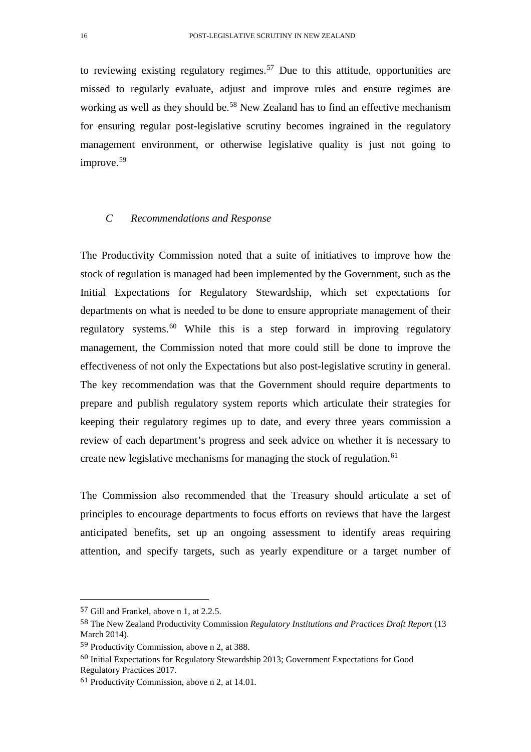to reviewing existing regulatory regimes.<sup>[57](#page-15-0)</sup> Due to this attitude, opportunities are missed to regularly evaluate, adjust and improve rules and ensure regimes are working as well as they should be.<sup>[58](#page-15-1)</sup> New Zealand has to find an effective mechanism for ensuring regular post-legislative scrutiny becomes ingrained in the regulatory management environment, or otherwise legislative quality is just not going to improve.<sup>[59](#page-15-2)</sup>

### *C Recommendations and Response*

The Productivity Commission noted that a suite of initiatives to improve how the stock of regulation is managed had been implemented by the Government, such as the Initial Expectations for Regulatory Stewardship, which set expectations for departments on what is needed to be done to ensure appropriate management of their regulatory systems.<sup>[60](#page-15-3)</sup> While this is a step forward in improving regulatory management, the Commission noted that more could still be done to improve the effectiveness of not only the Expectations but also post-legislative scrutiny in general. The key recommendation was that the Government should require departments to prepare and publish regulatory system reports which articulate their strategies for keeping their regulatory regimes up to date, and every three years commission a review of each department's progress and seek advice on whether it is necessary to create new legislative mechanisms for managing the stock of regulation.<sup>[61](#page-15-4)</sup>

The Commission also recommended that the Treasury should articulate a set of principles to encourage departments to focus efforts on reviews that have the largest anticipated benefits, set up an ongoing assessment to identify areas requiring attention, and specify targets, such as yearly expenditure or a target number of

<span id="page-15-0"></span> <sup>57</sup> Gill and Frankel, above n 1, at 2.2.5.

<span id="page-15-1"></span><sup>58</sup> The New Zealand Productivity Commission *Regulatory Institutions and Practices Draft Report* (13 March 2014).

<span id="page-15-2"></span><sup>59</sup> Productivity Commission, above n 2, at 388.

<span id="page-15-3"></span><sup>60</sup> Initial Expectations for Regulatory Stewardship 2013; Government Expectations for Good Regulatory Practices 2017.

<span id="page-15-4"></span><sup>61</sup> Productivity Commission, above n 2, at 14.01.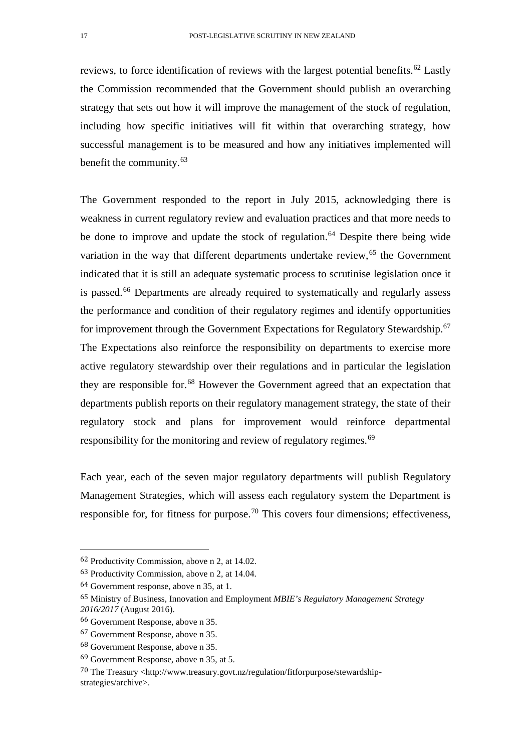reviews, to force identification of reviews with the largest potential benefits.<sup>[62](#page-16-0)</sup> Lastly the Commission recommended that the Government should publish an overarching strategy that sets out how it will improve the management of the stock of regulation, including how specific initiatives will fit within that overarching strategy, how successful management is to be measured and how any initiatives implemented will benefit the community.<sup>[63](#page-16-1)</sup>

The Government responded to the report in July 2015, acknowledging there is weakness in current regulatory review and evaluation practices and that more needs to be done to improve and update the stock of regulation.<sup>[64](#page-16-2)</sup> Despite there being wide variation in the way that different departments undertake review,  $65$  the Government indicated that it is still an adequate systematic process to scrutinise legislation once it is passed.<sup>[66](#page-16-4)</sup> Departments are already required to systematically and regularly assess the performance and condition of their regulatory regimes and identify opportunities for improvement through the Government Expectations for Regulatory Stewardship.<sup>[67](#page-16-5)</sup> The Expectations also reinforce the responsibility on departments to exercise more active regulatory stewardship over their regulations and in particular the legislation they are responsible for.<sup>[68](#page-16-6)</sup> However the Government agreed that an expectation that departments publish reports on their regulatory management strategy, the state of their regulatory stock and plans for improvement would reinforce departmental responsibility for the monitoring and review of regulatory regimes.<sup>[69](#page-16-7)</sup>

Each year, each of the seven major regulatory departments will publish Regulatory Management Strategies, which will assess each regulatory system the Department is responsible for, for fitness for purpose.<sup>[70](#page-16-8)</sup> This covers four dimensions; effectiveness,

<span id="page-16-0"></span> <sup>62</sup> Productivity Commission, above n 2, at 14.02.

<span id="page-16-1"></span><sup>63</sup> Productivity Commission, above n 2, at 14.04.

<span id="page-16-2"></span><sup>64</sup> Government response, above n 35, at 1.

<span id="page-16-3"></span><sup>65</sup> Ministry of Business, Innovation and Employment *MBIE's Regulatory Management Strategy 2016/2017* (August 2016).

<span id="page-16-4"></span><sup>66</sup> Government Response, above n 35.

<span id="page-16-5"></span><sup>67</sup> Government Response, above n 35.

<span id="page-16-6"></span><sup>68</sup> Government Response, above n 35.

<span id="page-16-7"></span><sup>69</sup> Government Response, above n 35, at 5.

<span id="page-16-8"></span><sup>70</sup> The Treasury <http://www.treasury.govt.nz/regulation/fitforpurpose/stewardshipstrategies/archive>.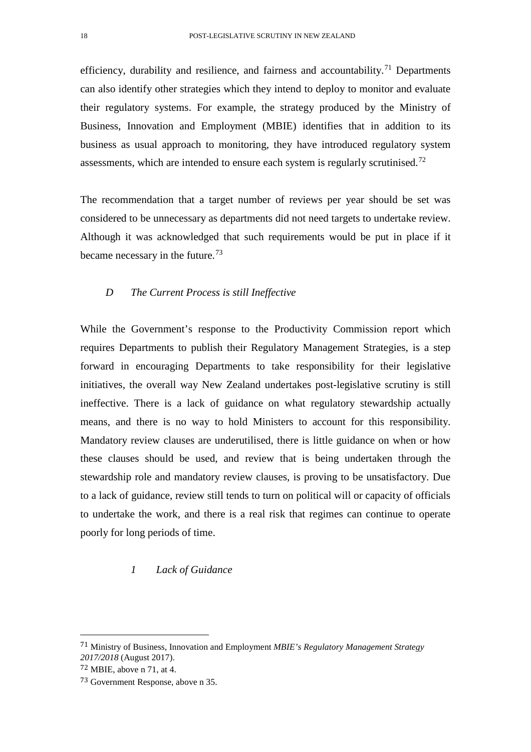efficiency, durability and resilience, and fairness and accountability.<sup>[71](#page-17-0)</sup> Departments can also identify other strategies which they intend to deploy to monitor and evaluate their regulatory systems. For example, the strategy produced by the Ministry of Business, Innovation and Employment (MBIE) identifies that in addition to its business as usual approach to monitoring, they have introduced regulatory system assessments, which are intended to ensure each system is regularly scrutinised.<sup>[72](#page-17-1)</sup>

The recommendation that a target number of reviews per year should be set was considered to be unnecessary as departments did not need targets to undertake review. Although it was acknowledged that such requirements would be put in place if it became necessary in the future.<sup>[73](#page-17-2)</sup>

### *D The Current Process is still Ineffective*

While the Government's response to the Productivity Commission report which requires Departments to publish their Regulatory Management Strategies, is a step forward in encouraging Departments to take responsibility for their legislative initiatives, the overall way New Zealand undertakes post-legislative scrutiny is still ineffective. There is a lack of guidance on what regulatory stewardship actually means, and there is no way to hold Ministers to account for this responsibility. Mandatory review clauses are underutilised, there is little guidance on when or how these clauses should be used, and review that is being undertaken through the stewardship role and mandatory review clauses, is proving to be unsatisfactory. Due to a lack of guidance, review still tends to turn on political will or capacity of officials to undertake the work, and there is a real risk that regimes can continue to operate poorly for long periods of time.

### *1 Lack of Guidance*

<span id="page-17-0"></span> <sup>71</sup> Ministry of Business, Innovation and Employment *MBIE's Regulatory Management Strategy 2017/2018* (August 2017).

<span id="page-17-1"></span><sup>72</sup> MBIE, above n 71, at 4.

<span id="page-17-2"></span><sup>73</sup> Government Response, above n 35.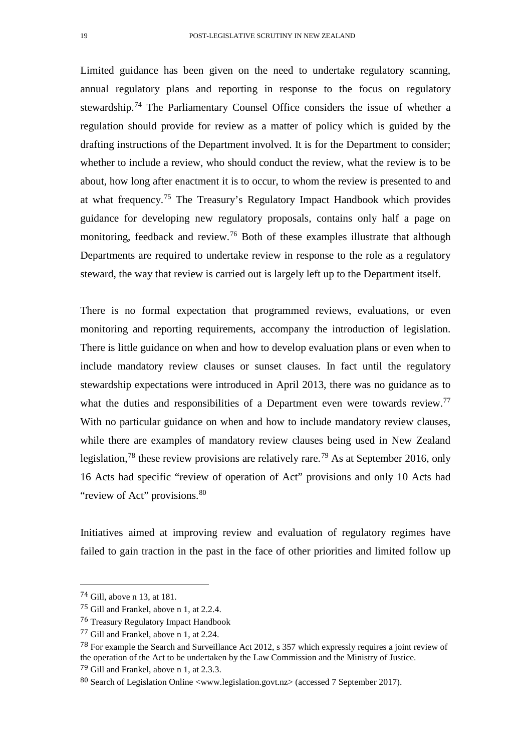Limited guidance has been given on the need to undertake regulatory scanning, annual regulatory plans and reporting in response to the focus on regulatory stewardship.<sup>[74](#page-18-0)</sup> The Parliamentary Counsel Office considers the issue of whether a regulation should provide for review as a matter of policy which is guided by the drafting instructions of the Department involved. It is for the Department to consider; whether to include a review, who should conduct the review, what the review is to be about, how long after enactment it is to occur, to whom the review is presented to and at what frequency.[75](#page-18-1) The Treasury's Regulatory Impact Handbook which provides guidance for developing new regulatory proposals, contains only half a page on monitoring, feedback and review.<sup>[76](#page-18-2)</sup> Both of these examples illustrate that although Departments are required to undertake review in response to the role as a regulatory steward, the way that review is carried out is largely left up to the Department itself.

There is no formal expectation that programmed reviews, evaluations, or even monitoring and reporting requirements, accompany the introduction of legislation. There is little guidance on when and how to develop evaluation plans or even when to include mandatory review clauses or sunset clauses. In fact until the regulatory stewardship expectations were introduced in April 2013, there was no guidance as to what the duties and responsibilities of a Department even were towards review.<sup>[77](#page-18-3)</sup> With no particular guidance on when and how to include mandatory review clauses, while there are examples of mandatory review clauses being used in New Zealand legislation,<sup>[78](#page-18-4)</sup> these review provisions are relatively rare.<sup>[79](#page-18-5)</sup> As at September 2016, only 16 Acts had specific "review of operation of Act" provisions and only 10 Acts had "review of Act" provisions.<sup>[80](#page-18-6)</sup>

Initiatives aimed at improving review and evaluation of regulatory regimes have failed to gain traction in the past in the face of other priorities and limited follow up

<span id="page-18-0"></span> <sup>74</sup> Gill, above n 13, at 181.

<span id="page-18-1"></span><sup>75</sup> Gill and Frankel, above n 1, at 2.2.4.

<span id="page-18-2"></span><sup>76</sup> Treasury Regulatory Impact Handbook

<span id="page-18-3"></span><sup>77</sup> Gill and Frankel, above n 1, at 2.24.

<span id="page-18-4"></span><sup>78</sup> For example the Search and Surveillance Act 2012, s 357 which expressly requires a joint review of the operation of the Act to be undertaken by the Law Commission and the Ministry of Justice. 79 Gill and Frankel, above n 1, at 2.3.3.

<span id="page-18-6"></span><span id="page-18-5"></span><sup>80</sup> Search of Legislation Online <www.legislation.govt.nz> (accessed 7 September 2017).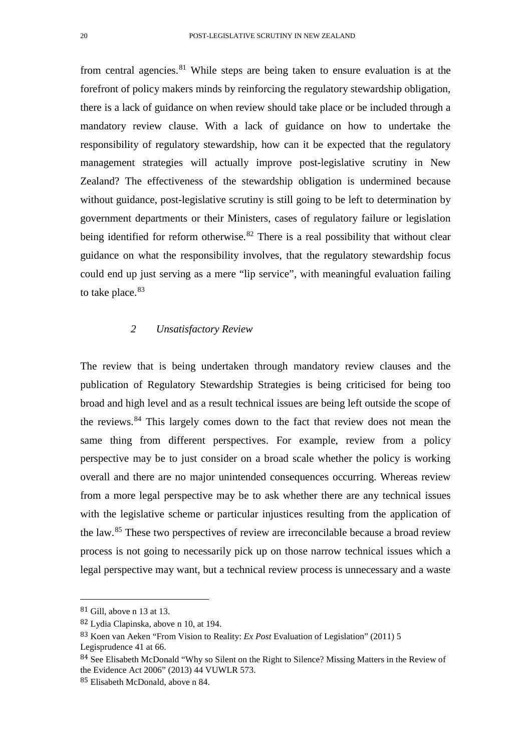from central agencies. $81$  While steps are being taken to ensure evaluation is at the forefront of policy makers minds by reinforcing the regulatory stewardship obligation, there is a lack of guidance on when review should take place or be included through a mandatory review clause. With a lack of guidance on how to undertake the responsibility of regulatory stewardship, how can it be expected that the regulatory management strategies will actually improve post-legislative scrutiny in New Zealand? The effectiveness of the stewardship obligation is undermined because without guidance, post-legislative scrutiny is still going to be left to determination by government departments or their Ministers, cases of regulatory failure or legislation being identified for reform otherwise.<sup>[82](#page-19-1)</sup> There is a real possibility that without clear guidance on what the responsibility involves, that the regulatory stewardship focus could end up just serving as a mere "lip service", with meaningful evaluation failing to take place.<sup>[83](#page-19-2)</sup>

### *2 Unsatisfactory Review*

The review that is being undertaken through mandatory review clauses and the publication of Regulatory Stewardship Strategies is being criticised for being too broad and high level and as a result technical issues are being left outside the scope of the reviews.[84](#page-19-3) This largely comes down to the fact that review does not mean the same thing from different perspectives. For example, review from a policy perspective may be to just consider on a broad scale whether the policy is working overall and there are no major unintended consequences occurring. Whereas review from a more legal perspective may be to ask whether there are any technical issues with the legislative scheme or particular injustices resulting from the application of the law.[85](#page-19-4) These two perspectives of review are irreconcilable because a broad review process is not going to necessarily pick up on those narrow technical issues which a legal perspective may want, but a technical review process is unnecessary and a waste

<span id="page-19-0"></span> <sup>81</sup> Gill, above n 13 at 13.

<span id="page-19-1"></span><sup>82</sup> Lydia Clapinska, above n 10, at 194.

<span id="page-19-2"></span><sup>83</sup> Koen van Aeken "From Vision to Reality: *Ex Post* Evaluation of Legislation" (2011) 5 Legisprudence 41 at 66.

<span id="page-19-3"></span><sup>84</sup> See Elisabeth McDonald "Why so Silent on the Right to Silence? Missing Matters in the Review of the Evidence Act 2006" (2013) 44 VUWLR 573.

<span id="page-19-4"></span><sup>85</sup> Elisabeth McDonald, above n 84.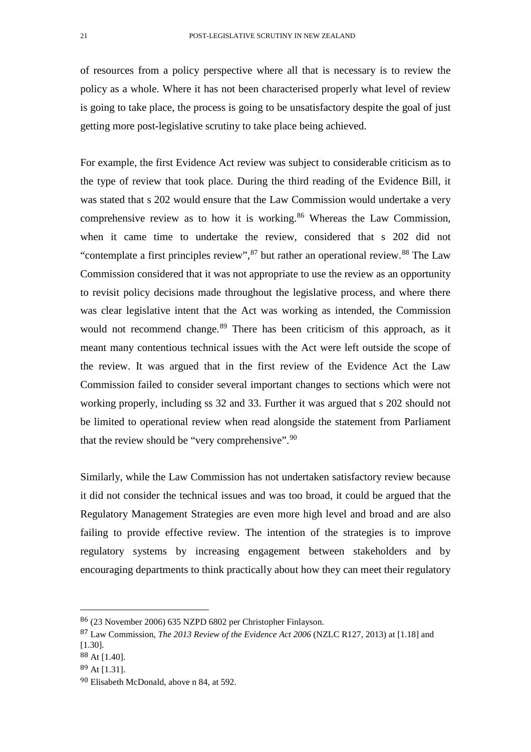of resources from a policy perspective where all that is necessary is to review the policy as a whole. Where it has not been characterised properly what level of review is going to take place, the process is going to be unsatisfactory despite the goal of just getting more post-legislative scrutiny to take place being achieved.

For example, the first Evidence Act review was subject to considerable criticism as to the type of review that took place. During the third reading of the Evidence Bill, it was stated that s 202 would ensure that the Law Commission would undertake a very comprehensive review as to how it is working.<sup>[86](#page-20-0)</sup> Whereas the Law Commission, when it came time to undertake the review, considered that s 202 did not "contemplate a first principles review",  $87$  but rather an operational review.  $88$  The Law Commission considered that it was not appropriate to use the review as an opportunity to revisit policy decisions made throughout the legislative process, and where there was clear legislative intent that the Act was working as intended, the Commission would not recommend change.<sup>[89](#page-20-3)</sup> There has been criticism of this approach, as it meant many contentious technical issues with the Act were left outside the scope of the review. It was argued that in the first review of the Evidence Act the Law Commission failed to consider several important changes to sections which were not working properly, including ss 32 and 33. Further it was argued that s 202 should not be limited to operational review when read alongside the statement from Parliament that the review should be "very comprehensive".<sup>[90](#page-20-4)</sup>

Similarly, while the Law Commission has not undertaken satisfactory review because it did not consider the technical issues and was too broad, it could be argued that the Regulatory Management Strategies are even more high level and broad and are also failing to provide effective review. The intention of the strategies is to improve regulatory systems by increasing engagement between stakeholders and by encouraging departments to think practically about how they can meet their regulatory

<span id="page-20-0"></span> <sup>86</sup> (23 November 2006) 635 NZPD 6802 per Christopher Finlayson.

<span id="page-20-1"></span><sup>87</sup> Law Commission, *The 2013 Review of the Evidence Act 2006* (NZLC R127, 2013) at [1.18] and [1.30].

<span id="page-20-2"></span> $88$  At [1.40].

<span id="page-20-3"></span><sup>89</sup> At [1.31].

<span id="page-20-4"></span><sup>90</sup> Elisabeth McDonald, above n 84, at 592.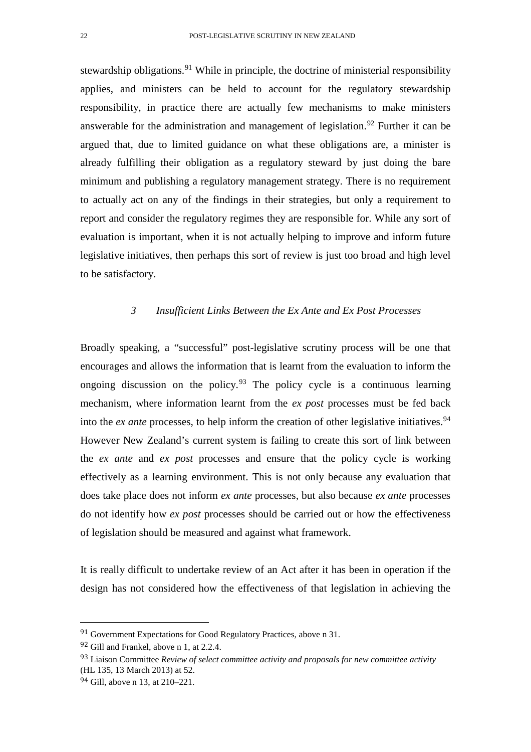stewardship obligations.<sup>[91](#page-21-0)</sup> While in principle, the doctrine of ministerial responsibility applies, and ministers can be held to account for the regulatory stewardship responsibility, in practice there are actually few mechanisms to make ministers answerable for the administration and management of legislation.<sup>[92](#page-21-1)</sup> Further it can be argued that, due to limited guidance on what these obligations are, a minister is already fulfilling their obligation as a regulatory steward by just doing the bare minimum and publishing a regulatory management strategy. There is no requirement to actually act on any of the findings in their strategies, but only a requirement to report and consider the regulatory regimes they are responsible for. While any sort of evaluation is important, when it is not actually helping to improve and inform future legislative initiatives, then perhaps this sort of review is just too broad and high level to be satisfactory.

## *3 Insufficient Links Between the Ex Ante and Ex Post Processes*

Broadly speaking, a "successful" post-legislative scrutiny process will be one that encourages and allows the information that is learnt from the evaluation to inform the ongoing discussion on the policy.<sup>[93](#page-21-2)</sup> The policy cycle is a continuous learning mechanism, where information learnt from the *ex post* processes must be fed back into the *ex ante* processes, to help inform the creation of other legislative initiatives.<sup>[94](#page-21-3)</sup> However New Zealand's current system is failing to create this sort of link between the *ex ante* and *ex post* processes and ensure that the policy cycle is working effectively as a learning environment. This is not only because any evaluation that does take place does not inform *ex ante* processes, but also because *ex ante* processes do not identify how *ex post* processes should be carried out or how the effectiveness of legislation should be measured and against what framework.

It is really difficult to undertake review of an Act after it has been in operation if the design has not considered how the effectiveness of that legislation in achieving the

<span id="page-21-0"></span> <sup>91</sup> Government Expectations for Good Regulatory Practices, above n 31.

<span id="page-21-1"></span><sup>92</sup> Gill and Frankel, above n 1, at 2.2.4.

<span id="page-21-2"></span><sup>93</sup> Liaison Committee *Review of select committee activity and proposals for new committee activity* (HL 135, 13 March 2013) at 52.

<span id="page-21-3"></span><sup>94</sup> Gill, above n 13, at 210–221.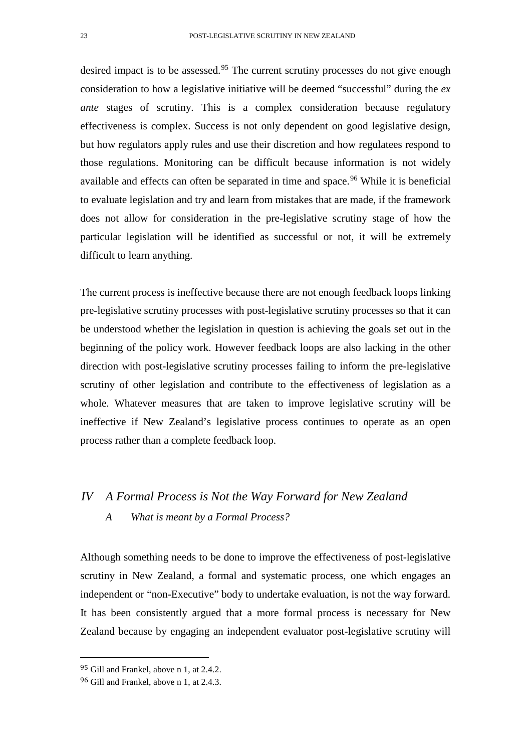desired impact is to be assessed.<sup>[95](#page-22-0)</sup> The current scrutiny processes do not give enough consideration to how a legislative initiative will be deemed "successful" during the *ex ante* stages of scrutiny. This is a complex consideration because regulatory effectiveness is complex. Success is not only dependent on good legislative design, but how regulators apply rules and use their discretion and how regulatees respond to those regulations. Monitoring can be difficult because information is not widely available and effects can often be separated in time and space.<sup>[96](#page-22-1)</sup> While it is beneficial to evaluate legislation and try and learn from mistakes that are made, if the framework does not allow for consideration in the pre-legislative scrutiny stage of how the particular legislation will be identified as successful or not, it will be extremely difficult to learn anything.

The current process is ineffective because there are not enough feedback loops linking pre-legislative scrutiny processes with post-legislative scrutiny processes so that it can be understood whether the legislation in question is achieving the goals set out in the beginning of the policy work. However feedback loops are also lacking in the other direction with post-legislative scrutiny processes failing to inform the pre-legislative scrutiny of other legislation and contribute to the effectiveness of legislation as a whole. Whatever measures that are taken to improve legislative scrutiny will be ineffective if New Zealand's legislative process continues to operate as an open process rather than a complete feedback loop.

# *IV A Formal Process is Not the Way Forward for New Zealand*

# *A What is meant by a Formal Process?*

Although something needs to be done to improve the effectiveness of post-legislative scrutiny in New Zealand, a formal and systematic process, one which engages an independent or "non-Executive" body to undertake evaluation, is not the way forward. It has been consistently argued that a more formal process is necessary for New Zealand because by engaging an independent evaluator post-legislative scrutiny will

<span id="page-22-0"></span> <sup>95</sup> Gill and Frankel, above n 1, at 2.4.2.

<span id="page-22-1"></span><sup>96</sup> Gill and Frankel, above n 1, at 2.4.3.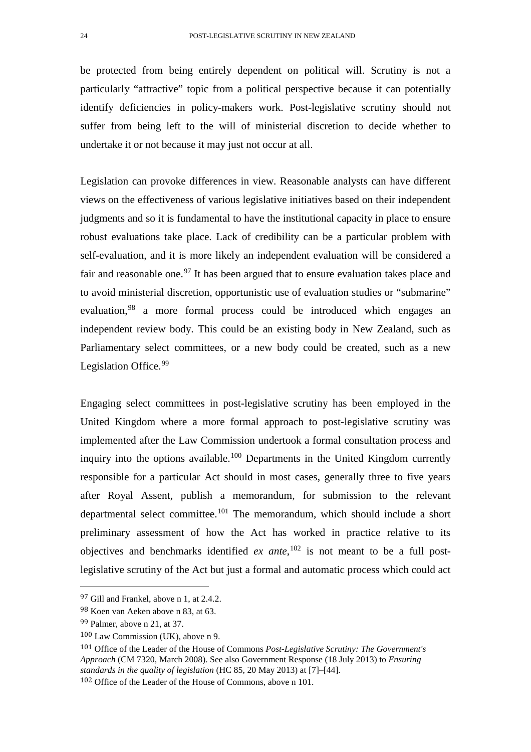be protected from being entirely dependent on political will. Scrutiny is not a particularly "attractive" topic from a political perspective because it can potentially identify deficiencies in policy-makers work. Post-legislative scrutiny should not suffer from being left to the will of ministerial discretion to decide whether to undertake it or not because it may just not occur at all.

Legislation can provoke differences in view. Reasonable analysts can have different views on the effectiveness of various legislative initiatives based on their independent judgments and so it is fundamental to have the institutional capacity in place to ensure robust evaluations take place. Lack of credibility can be a particular problem with self-evaluation, and it is more likely an independent evaluation will be considered a fair and reasonable one.<sup>[97](#page-23-0)</sup> It has been argued that to ensure evaluation takes place and to avoid ministerial discretion, opportunistic use of evaluation studies or "submarine" evaluation,<sup>[98](#page-23-1)</sup> a more formal process could be introduced which engages an independent review body. This could be an existing body in New Zealand, such as Parliamentary select committees, or a new body could be created, such as a new Legislation Office.<sup>[99](#page-23-2)</sup>

Engaging select committees in post-legislative scrutiny has been employed in the United Kingdom where a more formal approach to post-legislative scrutiny was implemented after the Law Commission undertook a formal consultation process and inquiry into the options available.<sup>[100](#page-23-3)</sup> Departments in the United Kingdom currently responsible for a particular Act should in most cases, generally three to five years after Royal Assent, publish a memorandum, for submission to the relevant departmental select committee.[101](#page-23-4) The memorandum, which should include a short preliminary assessment of how the Act has worked in practice relative to its objectives and benchmarks identified *ex ante*, [102](#page-23-5) is not meant to be a full postlegislative scrutiny of the Act but just a formal and automatic process which could act

<span id="page-23-0"></span> <sup>97</sup> Gill and Frankel, above n 1, at 2.4.2.

<span id="page-23-1"></span><sup>98</sup> Koen van Aeken above n 83, at 63.

<span id="page-23-2"></span><sup>99</sup> Palmer, above n 21, at 37.

<span id="page-23-3"></span><sup>100</sup> Law Commission (UK), above n 9.

<span id="page-23-4"></span><sup>101</sup> Office of the Leader of the House of Commons *Post-Legislative Scrutiny: The Government's Approach* (CM 7320, March 2008). See also Government Response (18 July 2013) to *Ensuring standards in the quality of legislation* (HC 85, 20 May 2013) at [7]–[44].

<span id="page-23-5"></span><sup>102</sup> Office of the Leader of the House of Commons, above n 101.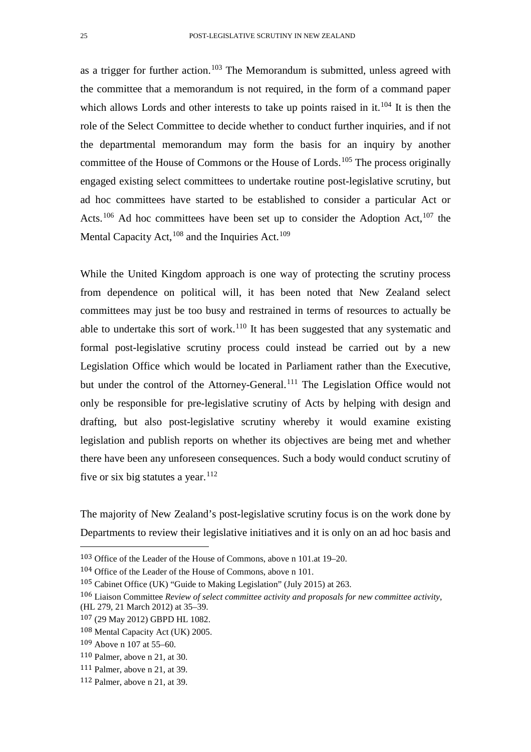as a trigger for further action.<sup>[103](#page-24-0)</sup> The Memorandum is submitted, unless agreed with the committee that a memorandum is not required, in the form of a command paper which allows Lords and other interests to take up points raised in it.<sup>[104](#page-24-1)</sup> It is then the role of the Select Committee to decide whether to conduct further inquiries, and if not the departmental memorandum may form the basis for an inquiry by another committee of the House of Commons or the House of Lords.<sup>[105](#page-24-2)</sup> The process originally engaged existing select committees to undertake routine post-legislative scrutiny, but ad hoc committees have started to be established to consider a particular Act or Acts.<sup>[106](#page-24-3)</sup> Ad hoc committees have been set up to consider the Adoption Act,<sup>[107](#page-24-4)</sup> the Mental Capacity Act,  $108$  and the Inquiries Act.  $109$ 

While the United Kingdom approach is one way of protecting the scrutiny process from dependence on political will, it has been noted that New Zealand select committees may just be too busy and restrained in terms of resources to actually be able to undertake this sort of work.<sup>[110](#page-24-7)</sup> It has been suggested that any systematic and formal post-legislative scrutiny process could instead be carried out by a new Legislation Office which would be located in Parliament rather than the Executive, but under the control of the Attorney-General.<sup>[111](#page-24-8)</sup> The Legislation Office would not only be responsible for pre-legislative scrutiny of Acts by helping with design and drafting, but also post-legislative scrutiny whereby it would examine existing legislation and publish reports on whether its objectives are being met and whether there have been any unforeseen consequences. Such a body would conduct scrutiny of five or six big statutes a year.<sup>[112](#page-24-9)</sup>

The majority of New Zealand's post-legislative scrutiny focus is on the work done by Departments to review their legislative initiatives and it is only on an ad hoc basis and

<span id="page-24-0"></span> <sup>103</sup> Office of the Leader of the House of Commons, above n 101.at 19–20.

<span id="page-24-1"></span><sup>104</sup> Office of the Leader of the House of Commons, above n 101.

<span id="page-24-3"></span><span id="page-24-2"></span><sup>105</sup> Cabinet Office (UK) "Guide to Making Legislation" (July 2015) at 263.

<sup>106</sup> Liaison Committee *Review of select committee activity and proposals for new committee activity*,

<sup>(</sup>HL 279, 21 March 2012) at 35–39.

<span id="page-24-4"></span><sup>107</sup> (29 May 2012) GBPD HL 1082.

<span id="page-24-5"></span><sup>108</sup> Mental Capacity Act (UK) 2005.

<span id="page-24-6"></span><sup>109</sup> Above n 107 at 55–60.

<span id="page-24-7"></span><sup>110</sup> Palmer, above n 21, at 30.

<span id="page-24-8"></span><sup>111</sup> Palmer, above n 21, at 39.

<span id="page-24-9"></span><sup>112</sup> Palmer, above n 21, at 39.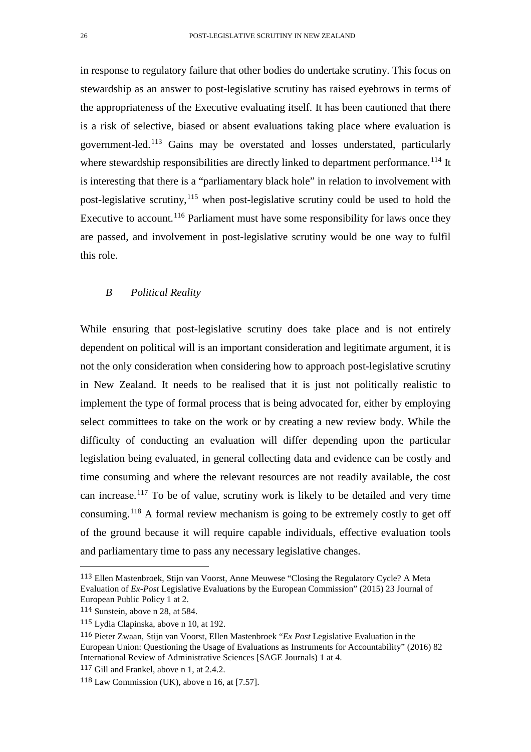in response to regulatory failure that other bodies do undertake scrutiny. This focus on stewardship as an answer to post-legislative scrutiny has raised eyebrows in terms of the appropriateness of the Executive evaluating itself. It has been cautioned that there is a risk of selective, biased or absent evaluations taking place where evaluation is government-led.[113](#page-25-0) Gains may be overstated and losses understated, particularly where stewardship responsibilities are directly linked to department performance.<sup>[114](#page-25-1)</sup> It is interesting that there is a "parliamentary black hole" in relation to involvement with post-legislative scrutiny,  $115$  when post-legislative scrutiny could be used to hold the Executive to account.<sup>[116](#page-25-3)</sup> Parliament must have some responsibility for laws once they are passed, and involvement in post-legislative scrutiny would be one way to fulfil this role.

### *B Political Reality*

While ensuring that post-legislative scrutiny does take place and is not entirely dependent on political will is an important consideration and legitimate argument, it is not the only consideration when considering how to approach post-legislative scrutiny in New Zealand. It needs to be realised that it is just not politically realistic to implement the type of formal process that is being advocated for, either by employing select committees to take on the work or by creating a new review body. While the difficulty of conducting an evaluation will differ depending upon the particular legislation being evaluated, in general collecting data and evidence can be costly and time consuming and where the relevant resources are not readily available, the cost can increase.<sup>[117](#page-25-4)</sup> To be of value, scrutiny work is likely to be detailed and very time consuming.[118](#page-25-5) A formal review mechanism is going to be extremely costly to get off of the ground because it will require capable individuals, effective evaluation tools and parliamentary time to pass any necessary legislative changes.

<span id="page-25-0"></span> <sup>113</sup> Ellen Mastenbroek, Stijn van Voorst, Anne Meuwese "Closing the Regulatory Cycle? A Meta Evaluation of *Ex-Post* Legislative Evaluations by the European Commission" (2015) 23 Journal of European Public Policy 1 at 2.

<span id="page-25-1"></span><sup>114</sup> Sunstein, above n 28, at 584.

<span id="page-25-2"></span><sup>115</sup> Lydia Clapinska, above n 10, at 192.

<span id="page-25-3"></span><sup>116</sup> Pieter Zwaan, Stijn van Voorst, Ellen Mastenbroek "*Ex Post* Legislative Evaluation in the European Union: Questioning the Usage of Evaluations as Instruments for Accountability" (2016) 82 International Review of Administrative Sciences [SAGE Journals) 1 at 4.

<span id="page-25-5"></span><span id="page-25-4"></span><sup>117</sup> Gill and Frankel, above n 1, at 2.4.2.

<sup>118</sup> Law Commission (UK), above n 16, at [7.57].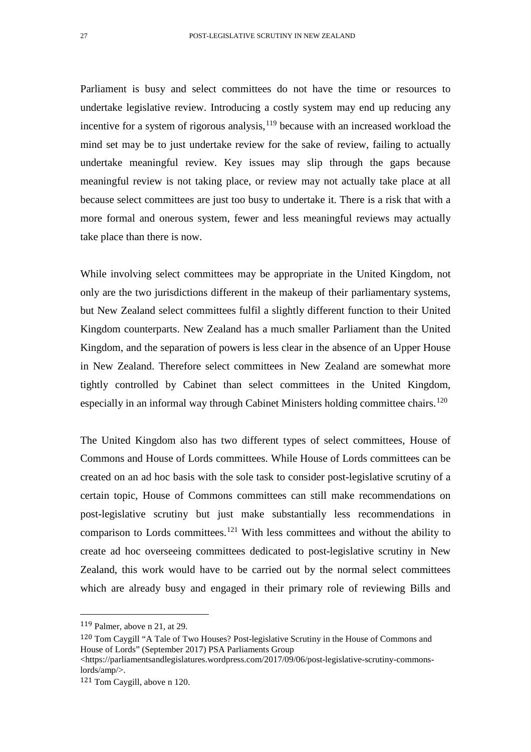Parliament is busy and select committees do not have the time or resources to undertake legislative review. Introducing a costly system may end up reducing any incentive for a system of rigorous analysis,  $119$  because with an increased workload the mind set may be to just undertake review for the sake of review, failing to actually undertake meaningful review. Key issues may slip through the gaps because meaningful review is not taking place, or review may not actually take place at all because select committees are just too busy to undertake it. There is a risk that with a more formal and onerous system, fewer and less meaningful reviews may actually take place than there is now.

While involving select committees may be appropriate in the United Kingdom, not only are the two jurisdictions different in the makeup of their parliamentary systems, but New Zealand select committees fulfil a slightly different function to their United Kingdom counterparts. New Zealand has a much smaller Parliament than the United Kingdom, and the separation of powers is less clear in the absence of an Upper House in New Zealand. Therefore select committees in New Zealand are somewhat more tightly controlled by Cabinet than select committees in the United Kingdom, especially in an informal way through Cabinet Ministers holding committee chairs.<sup>[120](#page-26-1)</sup>

The United Kingdom also has two different types of select committees, House of Commons and House of Lords committees. While House of Lords committees can be created on an ad hoc basis with the sole task to consider post-legislative scrutiny of a certain topic, House of Commons committees can still make recommendations on post-legislative scrutiny but just make substantially less recommendations in comparison to Lords committees.[121](#page-26-2) With less committees and without the ability to create ad hoc overseeing committees dedicated to post-legislative scrutiny in New Zealand, this work would have to be carried out by the normal select committees which are already busy and engaged in their primary role of reviewing Bills and

<span id="page-26-0"></span> <sup>119</sup> Palmer, above n 21, at 29.

<span id="page-26-1"></span><sup>120</sup> Tom Caygill "A Tale of Two Houses? Post-legislative Scrutiny in the House of Commons and House of Lords" (September 2017) PSA Parliaments Group

<sup>&</sup>lt;https://parliamentsandlegislatures.wordpress.com/2017/09/06/post-legislative-scrutiny-commonslords/amp/>.

<span id="page-26-2"></span><sup>121</sup> Tom Caygill, above n 120.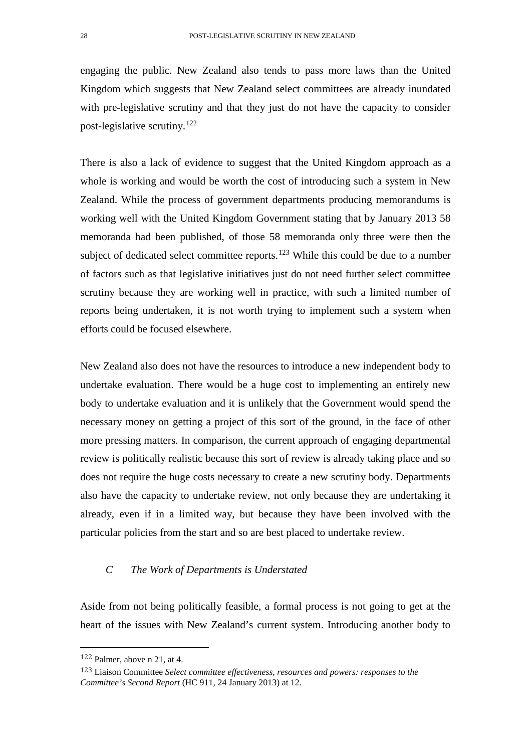engaging the public. New Zealand also tends to pass more laws than the United Kingdom which suggests that New Zealand select committees are already inundated with pre-legislative scrutiny and that they just do not have the capacity to consider post-legislative scrutiny.[122](#page-27-0)

There is also a lack of evidence to suggest that the United Kingdom approach as a whole is working and would be worth the cost of introducing such a system in New Zealand. While the process of government departments producing memorandums is working well with the United Kingdom Government stating that by January 2013 58 memoranda had been published, of those 58 memoranda only three were then the subject of dedicated select committee reports.<sup>[123](#page-27-1)</sup> While this could be due to a number of factors such as that legislative initiatives just do not need further select committee scrutiny because they are working well in practice, with such a limited number of reports being undertaken, it is not worth trying to implement such a system when efforts could be focused elsewhere.

New Zealand also does not have the resources to introduce a new independent body to undertake evaluation. There would be a huge cost to implementing an entirely new body to undertake evaluation and it is unlikely that the Government would spend the necessary money on getting a project of this sort of the ground, in the face of other more pressing matters. In comparison, the current approach of engaging departmental review is politically realistic because this sort of review is already taking place and so does not require the huge costs necessary to create a new scrutiny body. Departments also have the capacity to undertake review, not only because they are undertaking it already, even if in a limited way, but because they have been involved with the particular policies from the start and so are best placed to undertake review.

### *C The Work of Departments is Understated*

Aside from not being politically feasible, a formal process is not going to get at the heart of the issues with New Zealand's current system. Introducing another body to

<span id="page-27-0"></span> <sup>122</sup> Palmer, above n 21, at 4.

<span id="page-27-1"></span><sup>123</sup> Liaison Committee *Select committee effectiveness, resources and powers: responses to the Committee's Second Report* (HC 911, 24 January 2013) at 12.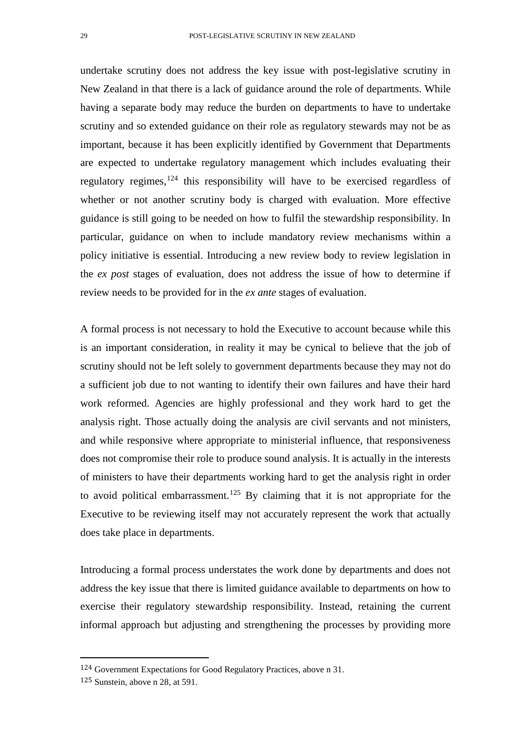undertake scrutiny does not address the key issue with post-legislative scrutiny in New Zealand in that there is a lack of guidance around the role of departments. While having a separate body may reduce the burden on departments to have to undertake scrutiny and so extended guidance on their role as regulatory stewards may not be as important, because it has been explicitly identified by Government that Departments are expected to undertake regulatory management which includes evaluating their regulatory regimes,  $124$  this responsibility will have to be exercised regardless of whether or not another scrutiny body is charged with evaluation. More effective guidance is still going to be needed on how to fulfil the stewardship responsibility. In particular, guidance on when to include mandatory review mechanisms within a policy initiative is essential. Introducing a new review body to review legislation in the *ex post* stages of evaluation, does not address the issue of how to determine if review needs to be provided for in the *ex ante* stages of evaluation.

A formal process is not necessary to hold the Executive to account because while this is an important consideration, in reality it may be cynical to believe that the job of scrutiny should not be left solely to government departments because they may not do a sufficient job due to not wanting to identify their own failures and have their hard work reformed. Agencies are highly professional and they work hard to get the analysis right. Those actually doing the analysis are civil servants and not ministers, and while responsive where appropriate to ministerial influence, that responsiveness does not compromise their role to produce sound analysis. It is actually in the interests of ministers to have their departments working hard to get the analysis right in order to avoid political embarrassment.<sup>[125](#page-28-1)</sup> By claiming that it is not appropriate for the Executive to be reviewing itself may not accurately represent the work that actually does take place in departments.

Introducing a formal process understates the work done by departments and does not address the key issue that there is limited guidance available to departments on how to exercise their regulatory stewardship responsibility. Instead, retaining the current informal approach but adjusting and strengthening the processes by providing more

<span id="page-28-0"></span> <sup>124</sup> Government Expectations for Good Regulatory Practices, above n 31.

<span id="page-28-1"></span><sup>125</sup> Sunstein, above n 28, at 591.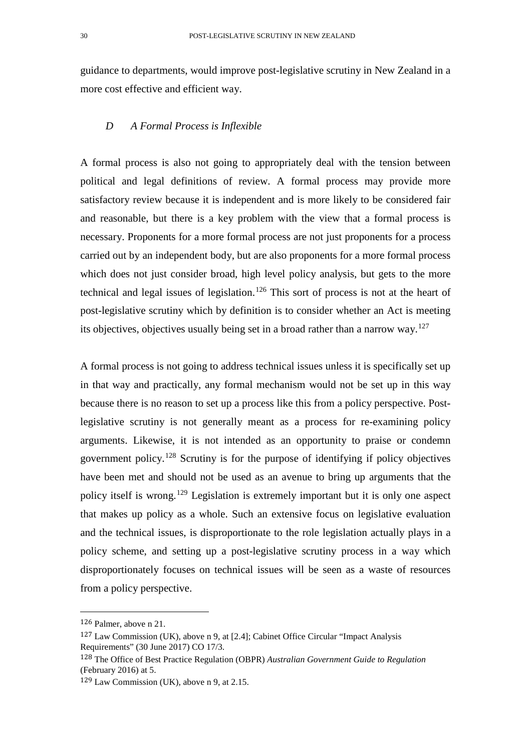guidance to departments, would improve post-legislative scrutiny in New Zealand in a more cost effective and efficient way.

### *D A Formal Process is Inflexible*

A formal process is also not going to appropriately deal with the tension between political and legal definitions of review. A formal process may provide more satisfactory review because it is independent and is more likely to be considered fair and reasonable, but there is a key problem with the view that a formal process is necessary. Proponents for a more formal process are not just proponents for a process carried out by an independent body, but are also proponents for a more formal process which does not just consider broad, high level policy analysis, but gets to the more technical and legal issues of legislation.<sup>[126](#page-29-0)</sup> This sort of process is not at the heart of post-legislative scrutiny which by definition is to consider whether an Act is meeting its objectives, objectives usually being set in a broad rather than a narrow way.[127](#page-29-1)

A formal process is not going to address technical issues unless it is specifically set up in that way and practically, any formal mechanism would not be set up in this way because there is no reason to set up a process like this from a policy perspective. Postlegislative scrutiny is not generally meant as a process for re-examining policy arguments. Likewise, it is not intended as an opportunity to praise or condemn government policy.[128](#page-29-2) Scrutiny is for the purpose of identifying if policy objectives have been met and should not be used as an avenue to bring up arguments that the policy itself is wrong.[129](#page-29-3) Legislation is extremely important but it is only one aspect that makes up policy as a whole. Such an extensive focus on legislative evaluation and the technical issues, is disproportionate to the role legislation actually plays in a policy scheme, and setting up a post-legislative scrutiny process in a way which disproportionately focuses on technical issues will be seen as a waste of resources from a policy perspective.

<span id="page-29-0"></span> <sup>126</sup> Palmer, above n 21.

<span id="page-29-1"></span><sup>127</sup> Law Commission (UK), above n 9, at [2.4]; Cabinet Office Circular "Impact Analysis Requirements" (30 June 2017) CO 17/3.

<span id="page-29-2"></span><sup>128</sup> The Office of Best Practice Regulation (OBPR) *Australian Government Guide to Regulation*  (February 2016) at 5.

<span id="page-29-3"></span><sup>129</sup> Law Commission (UK), above n 9, at 2.15.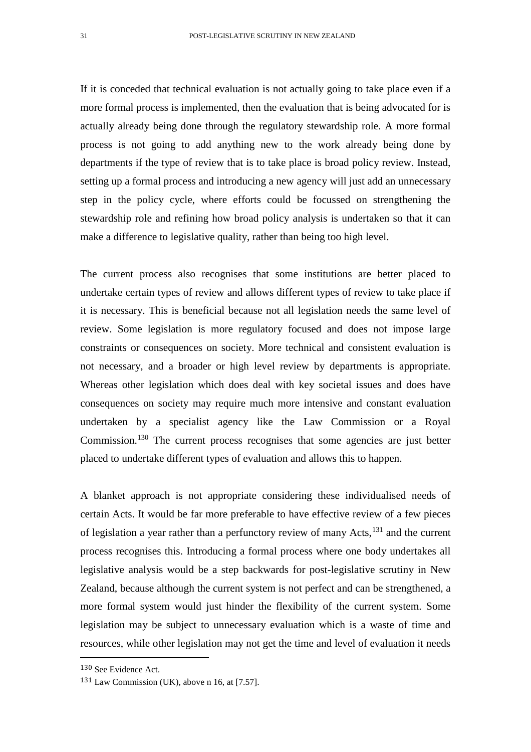If it is conceded that technical evaluation is not actually going to take place even if a more formal process is implemented, then the evaluation that is being advocated for is actually already being done through the regulatory stewardship role. A more formal process is not going to add anything new to the work already being done by departments if the type of review that is to take place is broad policy review. Instead, setting up a formal process and introducing a new agency will just add an unnecessary step in the policy cycle, where efforts could be focussed on strengthening the stewardship role and refining how broad policy analysis is undertaken so that it can make a difference to legislative quality, rather than being too high level.

The current process also recognises that some institutions are better placed to undertake certain types of review and allows different types of review to take place if it is necessary. This is beneficial because not all legislation needs the same level of review. Some legislation is more regulatory focused and does not impose large constraints or consequences on society. More technical and consistent evaluation is not necessary, and a broader or high level review by departments is appropriate. Whereas other legislation which does deal with key societal issues and does have consequences on society may require much more intensive and constant evaluation undertaken by a specialist agency like the Law Commission or a Royal Commission.<sup>[130](#page-30-0)</sup> The current process recognises that some agencies are just better placed to undertake different types of evaluation and allows this to happen.

A blanket approach is not appropriate considering these individualised needs of certain Acts. It would be far more preferable to have effective review of a few pieces of legislation a year rather than a perfunctory review of many Acts,<sup>[131](#page-30-1)</sup> and the current process recognises this. Introducing a formal process where one body undertakes all legislative analysis would be a step backwards for post-legislative scrutiny in New Zealand, because although the current system is not perfect and can be strengthened, a more formal system would just hinder the flexibility of the current system. Some legislation may be subject to unnecessary evaluation which is a waste of time and resources, while other legislation may not get the time and level of evaluation it needs

<span id="page-30-0"></span> <sup>130</sup> See Evidence Act.

<span id="page-30-1"></span><sup>131</sup> Law Commission (UK), above n 16, at [7.57].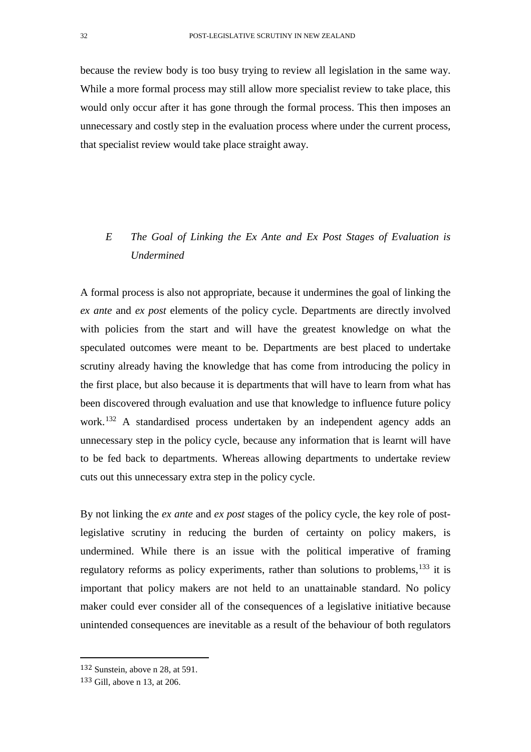because the review body is too busy trying to review all legislation in the same way. While a more formal process may still allow more specialist review to take place, this would only occur after it has gone through the formal process. This then imposes an unnecessary and costly step in the evaluation process where under the current process, that specialist review would take place straight away.

# *E The Goal of Linking the Ex Ante and Ex Post Stages of Evaluation is Undermined*

A formal process is also not appropriate, because it undermines the goal of linking the *ex ante* and *ex post* elements of the policy cycle. Departments are directly involved with policies from the start and will have the greatest knowledge on what the speculated outcomes were meant to be. Departments are best placed to undertake scrutiny already having the knowledge that has come from introducing the policy in the first place, but also because it is departments that will have to learn from what has been discovered through evaluation and use that knowledge to influence future policy work.<sup>[132](#page-31-0)</sup> A standardised process undertaken by an independent agency adds an unnecessary step in the policy cycle, because any information that is learnt will have to be fed back to departments. Whereas allowing departments to undertake review cuts out this unnecessary extra step in the policy cycle.

By not linking the *ex ante* and *ex post* stages of the policy cycle, the key role of postlegislative scrutiny in reducing the burden of certainty on policy makers, is undermined. While there is an issue with the political imperative of framing regulatory reforms as policy experiments, rather than solutions to problems, $133$  it is important that policy makers are not held to an unattainable standard. No policy maker could ever consider all of the consequences of a legislative initiative because unintended consequences are inevitable as a result of the behaviour of both regulators

<span id="page-31-0"></span> <sup>132</sup> Sunstein, above n 28, at 591.

<span id="page-31-1"></span><sup>133</sup> Gill, above n 13, at 206.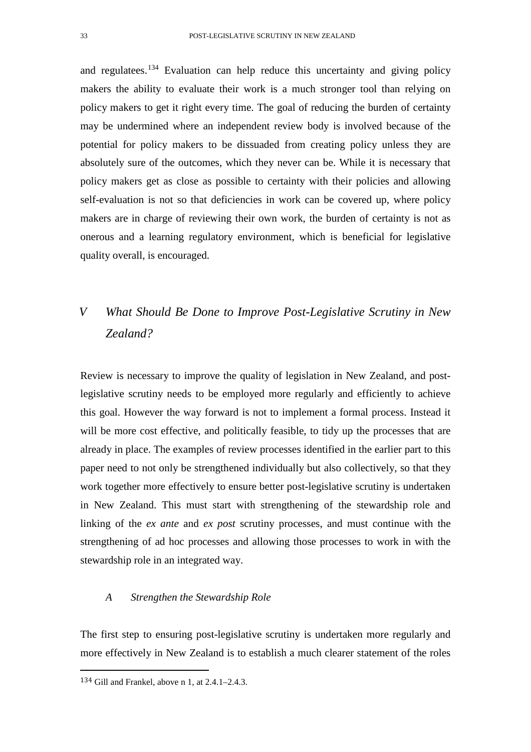and regulatees.<sup>[134](#page-32-0)</sup> Evaluation can help reduce this uncertainty and giving policy makers the ability to evaluate their work is a much stronger tool than relying on policy makers to get it right every time. The goal of reducing the burden of certainty may be undermined where an independent review body is involved because of the potential for policy makers to be dissuaded from creating policy unless they are absolutely sure of the outcomes, which they never can be. While it is necessary that policy makers get as close as possible to certainty with their policies and allowing self-evaluation is not so that deficiencies in work can be covered up, where policy makers are in charge of reviewing their own work, the burden of certainty is not as onerous and a learning regulatory environment, which is beneficial for legislative quality overall, is encouraged.

# *V What Should Be Done to Improve Post-Legislative Scrutiny in New Zealand?*

Review is necessary to improve the quality of legislation in New Zealand, and postlegislative scrutiny needs to be employed more regularly and efficiently to achieve this goal. However the way forward is not to implement a formal process. Instead it will be more cost effective, and politically feasible, to tidy up the processes that are already in place. The examples of review processes identified in the earlier part to this paper need to not only be strengthened individually but also collectively, so that they work together more effectively to ensure better post-legislative scrutiny is undertaken in New Zealand. This must start with strengthening of the stewardship role and linking of the *ex ante* and *ex post* scrutiny processes, and must continue with the strengthening of ad hoc processes and allowing those processes to work in with the stewardship role in an integrated way.

### *A Strengthen the Stewardship Role*

The first step to ensuring post-legislative scrutiny is undertaken more regularly and more effectively in New Zealand is to establish a much clearer statement of the roles

<span id="page-32-0"></span> <sup>134</sup> Gill and Frankel, above n 1, at 2.4.1–2.4.3.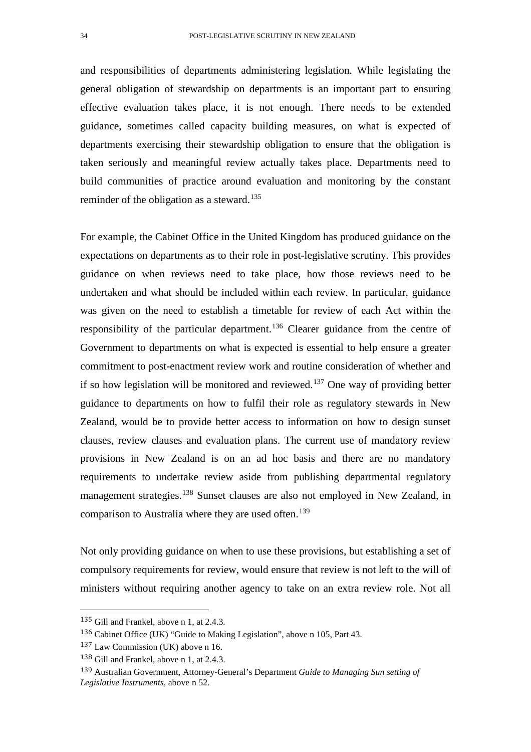and responsibilities of departments administering legislation. While legislating the general obligation of stewardship on departments is an important part to ensuring effective evaluation takes place, it is not enough. There needs to be extended guidance, sometimes called capacity building measures, on what is expected of departments exercising their stewardship obligation to ensure that the obligation is taken seriously and meaningful review actually takes place. Departments need to build communities of practice around evaluation and monitoring by the constant reminder of the obligation as a steward.<sup>[135](#page-33-0)</sup>

For example, the Cabinet Office in the United Kingdom has produced guidance on the expectations on departments as to their role in post-legislative scrutiny. This provides guidance on when reviews need to take place, how those reviews need to be undertaken and what should be included within each review. In particular, guidance was given on the need to establish a timetable for review of each Act within the responsibility of the particular department.[136](#page-33-1) Clearer guidance from the centre of Government to departments on what is expected is essential to help ensure a greater commitment to post-enactment review work and routine consideration of whether and if so how legislation will be monitored and reviewed.<sup>[137](#page-33-2)</sup> One way of providing better guidance to departments on how to fulfil their role as regulatory stewards in New Zealand, would be to provide better access to information on how to design sunset clauses, review clauses and evaluation plans. The current use of mandatory review provisions in New Zealand is on an ad hoc basis and there are no mandatory requirements to undertake review aside from publishing departmental regulatory management strategies.<sup>[138](#page-33-3)</sup> Sunset clauses are also not employed in New Zealand, in comparison to Australia where they are used often.<sup>[139](#page-33-4)</sup>

Not only providing guidance on when to use these provisions, but establishing a set of compulsory requirements for review, would ensure that review is not left to the will of ministers without requiring another agency to take on an extra review role. Not all

<span id="page-33-0"></span> <sup>135</sup> Gill and Frankel, above n 1, at 2.4.3.

<span id="page-33-1"></span><sup>136</sup> Cabinet Office (UK) "Guide to Making Legislation", above n 105, Part 43.

<span id="page-33-2"></span><sup>137</sup> Law Commission (UK) above n 16.

<span id="page-33-3"></span><sup>138</sup> Gill and Frankel, above n 1, at 2.4.3.

<span id="page-33-4"></span><sup>139</sup> Australian Government, Attorney-General's Department *Guide to Managing Sun setting of Legislative Instruments,* above n 52.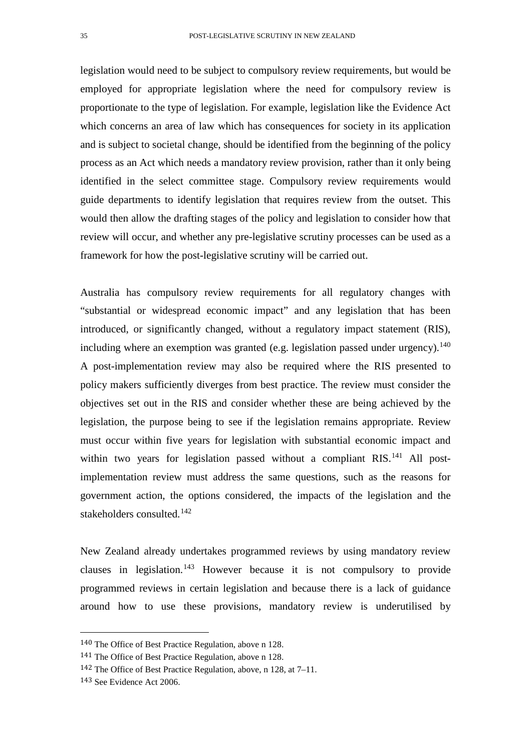legislation would need to be subject to compulsory review requirements, but would be employed for appropriate legislation where the need for compulsory review is proportionate to the type of legislation. For example, legislation like the Evidence Act which concerns an area of law which has consequences for society in its application and is subject to societal change, should be identified from the beginning of the policy process as an Act which needs a mandatory review provision, rather than it only being identified in the select committee stage. Compulsory review requirements would guide departments to identify legislation that requires review from the outset. This would then allow the drafting stages of the policy and legislation to consider how that review will occur, and whether any pre-legislative scrutiny processes can be used as a framework for how the post-legislative scrutiny will be carried out.

Australia has compulsory review requirements for all regulatory changes with "substantial or widespread economic impact" and any legislation that has been introduced, or significantly changed, without a regulatory impact statement (RIS), including where an exemption was granted (e.g. legislation passed under urgency).<sup>[140](#page-34-0)</sup> A post-implementation review may also be required where the RIS presented to policy makers sufficiently diverges from best practice. The review must consider the objectives set out in the RIS and consider whether these are being achieved by the legislation, the purpose being to see if the legislation remains appropriate. Review must occur within five years for legislation with substantial economic impact and within two years for legislation passed without a compliant RIS.<sup>[141](#page-34-1)</sup> All postimplementation review must address the same questions, such as the reasons for government action, the options considered, the impacts of the legislation and the stakeholders consulted.[142](#page-34-2)

New Zealand already undertakes programmed reviews by using mandatory review clauses in legislation.[143](#page-34-3) However because it is not compulsory to provide programmed reviews in certain legislation and because there is a lack of guidance around how to use these provisions, mandatory review is underutilised by

<span id="page-34-1"></span><span id="page-34-0"></span> <sup>140</sup> The Office of Best Practice Regulation, above n 128.

<sup>141</sup> The Office of Best Practice Regulation, above n 128.

<span id="page-34-2"></span><sup>142</sup> The Office of Best Practice Regulation, above, n 128, at 7–11.

<span id="page-34-3"></span><sup>143</sup> See Evidence Act 2006.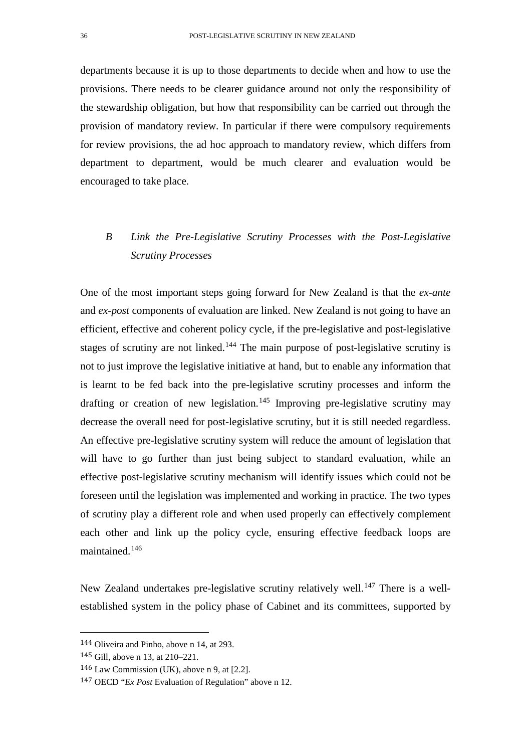departments because it is up to those departments to decide when and how to use the provisions. There needs to be clearer guidance around not only the responsibility of the stewardship obligation, but how that responsibility can be carried out through the provision of mandatory review. In particular if there were compulsory requirements for review provisions, the ad hoc approach to mandatory review, which differs from department to department, would be much clearer and evaluation would be encouraged to take place.

# *B Link the Pre-Legislative Scrutiny Processes with the Post-Legislative Scrutiny Processes*

One of the most important steps going forward for New Zealand is that the *ex-ante* and *ex-post* components of evaluation are linked. New Zealand is not going to have an efficient, effective and coherent policy cycle, if the pre-legislative and post-legislative stages of scrutiny are not linked.<sup>[144](#page-35-0)</sup> The main purpose of post-legislative scrutiny is not to just improve the legislative initiative at hand, but to enable any information that is learnt to be fed back into the pre-legislative scrutiny processes and inform the drafting or creation of new legislation.<sup>[145](#page-35-1)</sup> Improving pre-legislative scrutiny may decrease the overall need for post-legislative scrutiny, but it is still needed regardless. An effective pre-legislative scrutiny system will reduce the amount of legislation that will have to go further than just being subject to standard evaluation, while an effective post-legislative scrutiny mechanism will identify issues which could not be foreseen until the legislation was implemented and working in practice. The two types of scrutiny play a different role and when used properly can effectively complement each other and link up the policy cycle, ensuring effective feedback loops are maintained.[146](#page-35-2)

New Zealand undertakes pre-legislative scrutiny relatively well.<sup>[147](#page-35-3)</sup> There is a wellestablished system in the policy phase of Cabinet and its committees, supported by

<span id="page-35-1"></span><span id="page-35-0"></span> <sup>144</sup> Oliveira and Pinho, above n 14, at 293.

<sup>145</sup> Gill, above n 13, at 210–221.

<span id="page-35-2"></span><sup>146</sup> Law Commission (UK), above n 9, at [2.2].

<span id="page-35-3"></span><sup>147</sup> OECD "*Ex Post* Evaluation of Regulation" above n 12.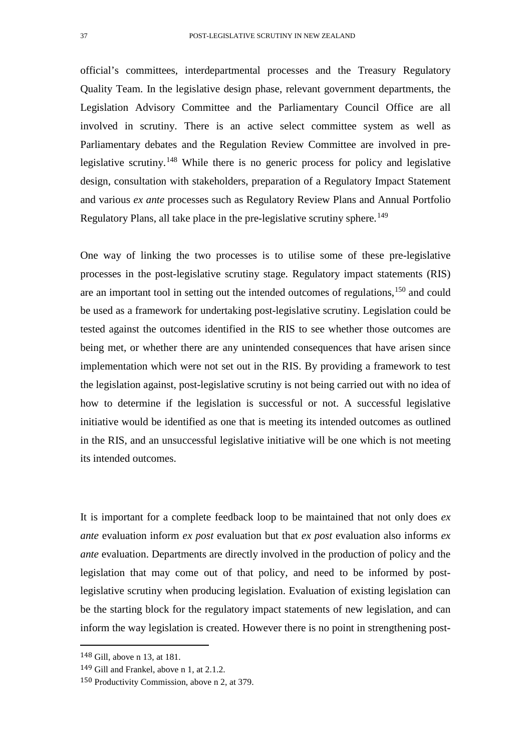official's committees, interdepartmental processes and the Treasury Regulatory Quality Team. In the legislative design phase, relevant government departments, the Legislation Advisory Committee and the Parliamentary Council Office are all involved in scrutiny. There is an active select committee system as well as Parliamentary debates and the Regulation Review Committee are involved in pre-legislative scrutiny.<sup>[148](#page-36-0)</sup> While there is no generic process for policy and legislative design, consultation with stakeholders, preparation of a Regulatory Impact Statement and various *ex ante* processes such as Regulatory Review Plans and Annual Portfolio Regulatory Plans, all take place in the pre-legislative scrutiny sphere.<sup>[149](#page-36-1)</sup>

One way of linking the two processes is to utilise some of these pre-legislative processes in the post-legislative scrutiny stage. Regulatory impact statements (RIS) are an important tool in setting out the intended outcomes of regulations,<sup>[150](#page-36-2)</sup> and could be used as a framework for undertaking post-legislative scrutiny. Legislation could be tested against the outcomes identified in the RIS to see whether those outcomes are being met, or whether there are any unintended consequences that have arisen since implementation which were not set out in the RIS. By providing a framework to test the legislation against, post-legislative scrutiny is not being carried out with no idea of how to determine if the legislation is successful or not. A successful legislative initiative would be identified as one that is meeting its intended outcomes as outlined in the RIS, and an unsuccessful legislative initiative will be one which is not meeting its intended outcomes.

It is important for a complete feedback loop to be maintained that not only does *ex ante* evaluation inform *ex post* evaluation but that *ex post* evaluation also informs *ex ante* evaluation. Departments are directly involved in the production of policy and the legislation that may come out of that policy, and need to be informed by postlegislative scrutiny when producing legislation. Evaluation of existing legislation can be the starting block for the regulatory impact statements of new legislation, and can inform the way legislation is created. However there is no point in strengthening post-

<span id="page-36-0"></span> <sup>148</sup> Gill, above n 13, at 181.

<span id="page-36-1"></span><sup>149</sup> Gill and Frankel, above n 1, at 2.1.2.

<span id="page-36-2"></span><sup>150</sup> Productivity Commission, above n 2, at 379.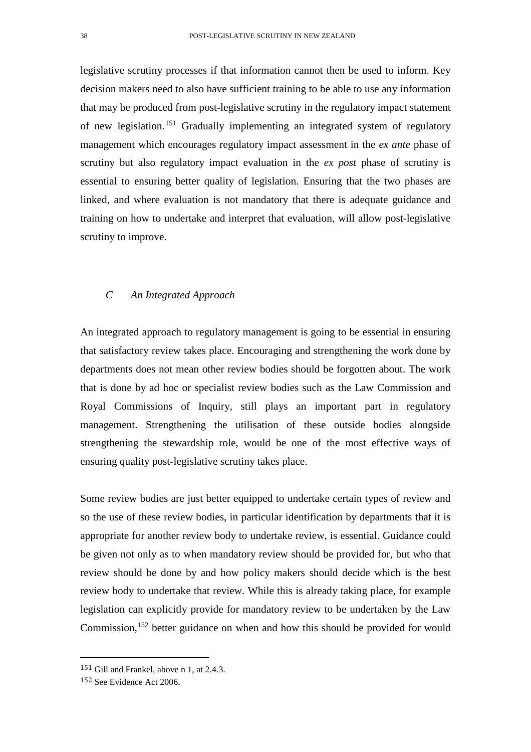legislative scrutiny processes if that information cannot then be used to inform. Key decision makers need to also have sufficient training to be able to use any information that may be produced from post-legislative scrutiny in the regulatory impact statement of new legislation.[151](#page-37-0) Gradually implementing an integrated system of regulatory management which encourages regulatory impact assessment in the *ex ante* phase of scrutiny but also regulatory impact evaluation in the *ex post* phase of scrutiny is essential to ensuring better quality of legislation. Ensuring that the two phases are linked, and where evaluation is not mandatory that there is adequate guidance and training on how to undertake and interpret that evaluation, will allow post-legislative scrutiny to improve.

### *C An Integrated Approach*

An integrated approach to regulatory management is going to be essential in ensuring that satisfactory review takes place. Encouraging and strengthening the work done by departments does not mean other review bodies should be forgotten about. The work that is done by ad hoc or specialist review bodies such as the Law Commission and Royal Commissions of Inquiry, still plays an important part in regulatory management. Strengthening the utilisation of these outside bodies alongside strengthening the stewardship role, would be one of the most effective ways of ensuring quality post-legislative scrutiny takes place.

Some review bodies are just better equipped to undertake certain types of review and so the use of these review bodies, in particular identification by departments that it is appropriate for another review body to undertake review, is essential. Guidance could be given not only as to when mandatory review should be provided for, but who that review should be done by and how policy makers should decide which is the best review body to undertake that review. While this is already taking place, for example legislation can explicitly provide for mandatory review to be undertaken by the Law Commission,<sup>[152](#page-37-1)</sup> better guidance on when and how this should be provided for would

<span id="page-37-0"></span> <sup>151</sup> Gill and Frankel, above n 1, at 2.4.3.

<span id="page-37-1"></span><sup>152</sup> See Evidence Act 2006.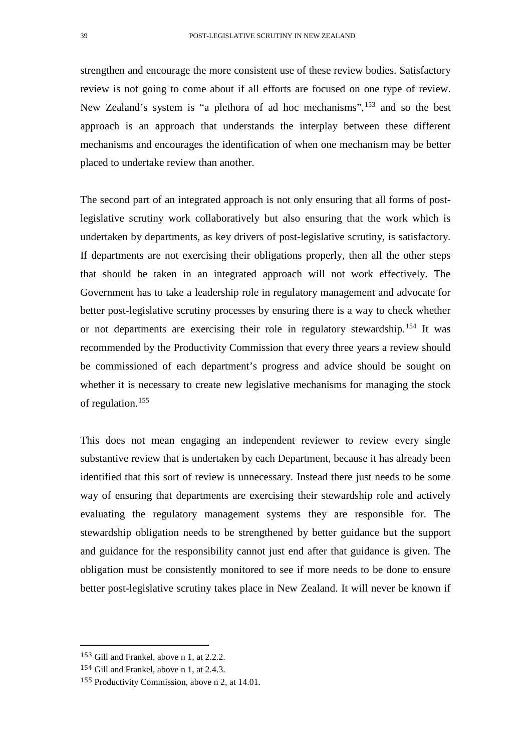strengthen and encourage the more consistent use of these review bodies. Satisfactory review is not going to come about if all efforts are focused on one type of review. New Zealand's system is "a plethora of ad hoc mechanisms", <sup>[153](#page-38-0)</sup> and so the best approach is an approach that understands the interplay between these different mechanisms and encourages the identification of when one mechanism may be better placed to undertake review than another.

The second part of an integrated approach is not only ensuring that all forms of postlegislative scrutiny work collaboratively but also ensuring that the work which is undertaken by departments, as key drivers of post-legislative scrutiny, is satisfactory. If departments are not exercising their obligations properly, then all the other steps that should be taken in an integrated approach will not work effectively. The Government has to take a leadership role in regulatory management and advocate for better post-legislative scrutiny processes by ensuring there is a way to check whether or not departments are exercising their role in regulatory stewardship.[154](#page-38-1) It was recommended by the Productivity Commission that every three years a review should be commissioned of each department's progress and advice should be sought on whether it is necessary to create new legislative mechanisms for managing the stock of regulation.[155](#page-38-2)

This does not mean engaging an independent reviewer to review every single substantive review that is undertaken by each Department, because it has already been identified that this sort of review is unnecessary. Instead there just needs to be some way of ensuring that departments are exercising their stewardship role and actively evaluating the regulatory management systems they are responsible for. The stewardship obligation needs to be strengthened by better guidance but the support and guidance for the responsibility cannot just end after that guidance is given. The obligation must be consistently monitored to see if more needs to be done to ensure better post-legislative scrutiny takes place in New Zealand. It will never be known if

<span id="page-38-0"></span> <sup>153</sup> Gill and Frankel, above n 1, at 2.2.2.

<span id="page-38-1"></span><sup>154</sup> Gill and Frankel, above n 1, at 2.4.3.

<span id="page-38-2"></span><sup>155</sup> Productivity Commission, above n 2, at 14.01.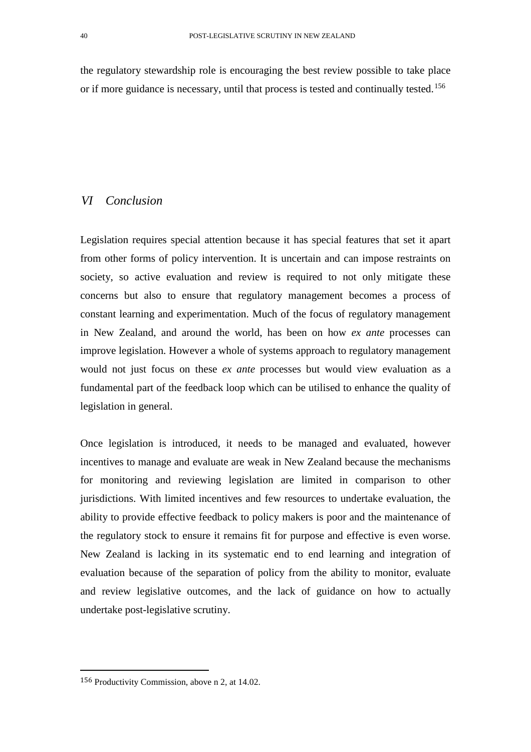the regulatory stewardship role is encouraging the best review possible to take place or if more guidance is necessary, until that process is tested and continually tested.<sup>[156](#page-39-0)</sup>

# *VI Conclusion*

Legislation requires special attention because it has special features that set it apart from other forms of policy intervention. It is uncertain and can impose restraints on society, so active evaluation and review is required to not only mitigate these concerns but also to ensure that regulatory management becomes a process of constant learning and experimentation. Much of the focus of regulatory management in New Zealand, and around the world, has been on how *ex ante* processes can improve legislation. However a whole of systems approach to regulatory management would not just focus on these *ex ante* processes but would view evaluation as a fundamental part of the feedback loop which can be utilised to enhance the quality of legislation in general.

Once legislation is introduced, it needs to be managed and evaluated, however incentives to manage and evaluate are weak in New Zealand because the mechanisms for monitoring and reviewing legislation are limited in comparison to other jurisdictions. With limited incentives and few resources to undertake evaluation, the ability to provide effective feedback to policy makers is poor and the maintenance of the regulatory stock to ensure it remains fit for purpose and effective is even worse. New Zealand is lacking in its systematic end to end learning and integration of evaluation because of the separation of policy from the ability to monitor, evaluate and review legislative outcomes, and the lack of guidance on how to actually undertake post-legislative scrutiny.

<span id="page-39-0"></span> <sup>156</sup> Productivity Commission, above n 2, at 14.02.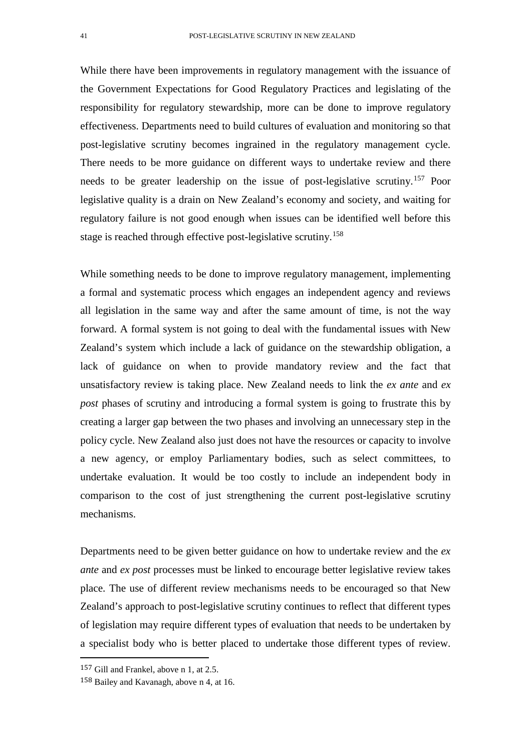While there have been improvements in regulatory management with the issuance of the Government Expectations for Good Regulatory Practices and legislating of the responsibility for regulatory stewardship, more can be done to improve regulatory effectiveness. Departments need to build cultures of evaluation and monitoring so that post-legislative scrutiny becomes ingrained in the regulatory management cycle. There needs to be more guidance on different ways to undertake review and there needs to be greater leadership on the issue of post-legislative scrutiny.[157](#page-40-0) Poor legislative quality is a drain on New Zealand's economy and society, and waiting for regulatory failure is not good enough when issues can be identified well before this stage is reached through effective post-legislative scrutiny.[158](#page-40-1)

While something needs to be done to improve regulatory management, implementing a formal and systematic process which engages an independent agency and reviews all legislation in the same way and after the same amount of time, is not the way forward. A formal system is not going to deal with the fundamental issues with New Zealand's system which include a lack of guidance on the stewardship obligation, a lack of guidance on when to provide mandatory review and the fact that unsatisfactory review is taking place. New Zealand needs to link the *ex ante* and *ex post* phases of scrutiny and introducing a formal system is going to frustrate this by creating a larger gap between the two phases and involving an unnecessary step in the policy cycle. New Zealand also just does not have the resources or capacity to involve a new agency, or employ Parliamentary bodies, such as select committees, to undertake evaluation. It would be too costly to include an independent body in comparison to the cost of just strengthening the current post-legislative scrutiny mechanisms.

Departments need to be given better guidance on how to undertake review and the *ex ante* and *ex post* processes must be linked to encourage better legislative review takes place. The use of different review mechanisms needs to be encouraged so that New Zealand's approach to post-legislative scrutiny continues to reflect that different types of legislation may require different types of evaluation that needs to be undertaken by a specialist body who is better placed to undertake those different types of review.

<span id="page-40-0"></span> <sup>157</sup> Gill and Frankel, above n 1, at 2.5.

<span id="page-40-1"></span><sup>158</sup> Bailey and Kavanagh, above n 4, at 16.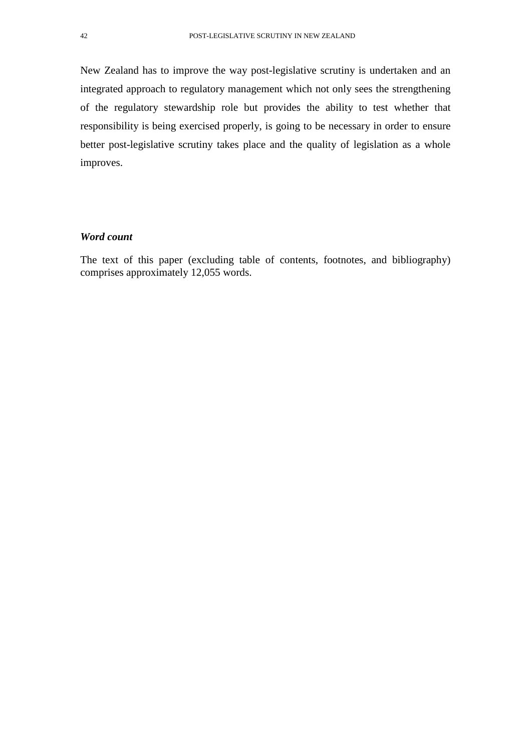New Zealand has to improve the way post-legislative scrutiny is undertaken and an integrated approach to regulatory management which not only sees the strengthening of the regulatory stewardship role but provides the ability to test whether that responsibility is being exercised properly, is going to be necessary in order to ensure better post-legislative scrutiny takes place and the quality of legislation as a whole improves.

### *Word count*

The text of this paper (excluding table of contents, footnotes, and bibliography) comprises approximately 12,055 words.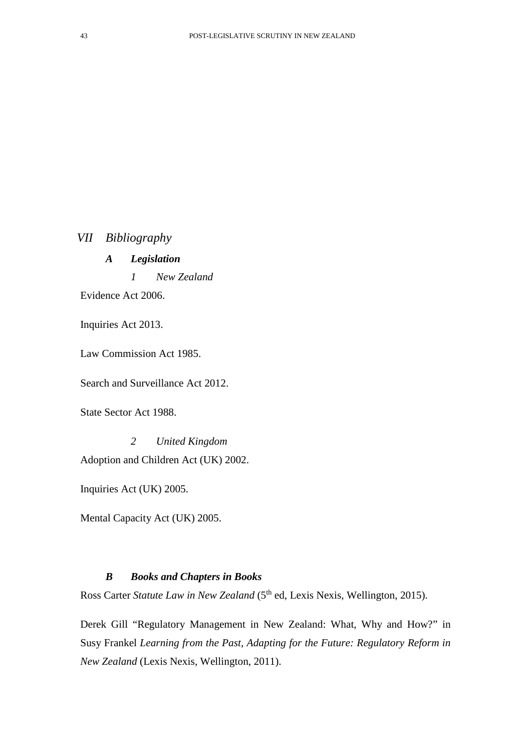*VII Bibliography*

*A Legislation*

*1 New Zealand*

Evidence Act 2006.

Inquiries Act 2013.

Law Commission Act 1985.

Search and Surveillance Act 2012.

State Sector Act 1988.

*2 United Kingdom* Adoption and Children Act (UK) 2002.

Inquiries Act (UK) 2005.

Mental Capacity Act (UK) 2005.

# *B Books and Chapters in Books*

Ross Carter *Statute Law in New Zealand* (5<sup>th</sup> ed, Lexis Nexis, Wellington, 2015).

Derek Gill "Regulatory Management in New Zealand: What, Why and How?" in Susy Frankel *Learning from the Past, Adapting for the Future: Regulatory Reform in New Zealand* (Lexis Nexis, Wellington, 2011).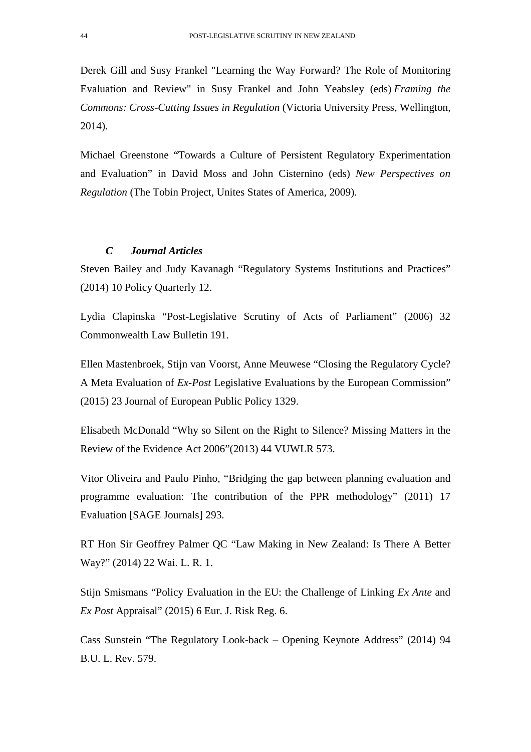Derek Gill and Susy Frankel "Learning the Way Forward? The Role of Monitoring Evaluation and Review" in Susy Frankel and John Yeabsley (eds) *Framing the Commons: Cross-Cutting Issues in Regulation* (Victoria University Press, Wellington, 2014).

Michael Greenstone "Towards a Culture of Persistent Regulatory Experimentation and Evaluation" in David Moss and John Cisternino (eds) *New Perspectives on Regulation* (The Tobin Project, Unites States of America, 2009).

### *C Journal Articles*

Steven Bailey and Judy Kavanagh "Regulatory Systems Institutions and Practices" (2014) 10 Policy Quarterly 12.

Lydia Clapinska "Post-Legislative Scrutiny of Acts of Parliament" (2006) 32 Commonwealth Law Bulletin 191.

Ellen Mastenbroek, Stijn van Voorst, Anne Meuwese "Closing the Regulatory Cycle? A Meta Evaluation of *Ex-Post* Legislative Evaluations by the European Commission" (2015) 23 Journal of European Public Policy 1329.

Elisabeth McDonald "Why so Silent on the Right to Silence? Missing Matters in the Review of the Evidence Act 2006"(2013) 44 VUWLR 573.

Vitor Oliveira and Paulo Pinho, "Bridging the gap between planning evaluation and programme evaluation: The contribution of the PPR methodology" (2011) 17 Evaluation [SAGE Journals] 293.

RT Hon Sir Geoffrey Palmer QC "Law Making in New Zealand: Is There A Better Way?" (2014) 22 Wai. L. R. 1.

Stijn Smismans "Policy Evaluation in the EU: the Challenge of Linking *Ex Ante* and *Ex Post* Appraisal" (2015) 6 Eur. J. Risk Reg. 6.

Cass Sunstein "The Regulatory Look-back – Opening Keynote Address" (2014) 94 B.U. L. Rev. 579.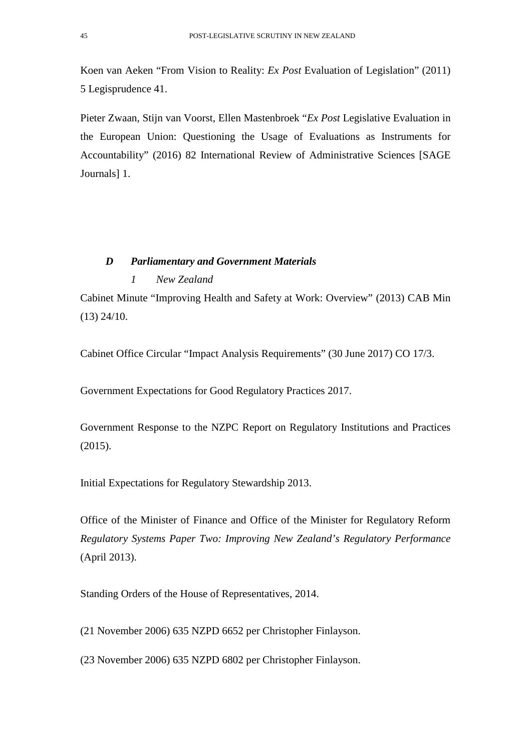Koen van Aeken "From Vision to Reality: *Ex Post* Evaluation of Legislation" (2011) 5 Legisprudence 41.

Pieter Zwaan, Stijn van Voorst, Ellen Mastenbroek "*Ex Post* Legislative Evaluation in the European Union: Questioning the Usage of Evaluations as Instruments for Accountability" (2016) 82 International Review of Administrative Sciences [SAGE Journals] 1.

# *D Parliamentary and Government Materials*

# *1 New Zealand*

Cabinet Minute "Improving Health and Safety at Work: Overview" (2013) CAB Min (13) 24/10.

Cabinet Office Circular "Impact Analysis Requirements" (30 June 2017) CO 17/3.

Government Expectations for Good Regulatory Practices 2017.

Government Response to the NZPC Report on Regulatory Institutions and Practices (2015).

Initial Expectations for Regulatory Stewardship 2013.

Office of the Minister of Finance and Office of the Minister for Regulatory Reform *Regulatory Systems Paper Two: Improving New Zealand's Regulatory Performance*  (April 2013).

Standing Orders of the House of Representatives, 2014.

(21 November 2006) 635 NZPD 6652 per Christopher Finlayson.

(23 November 2006) 635 NZPD 6802 per Christopher Finlayson.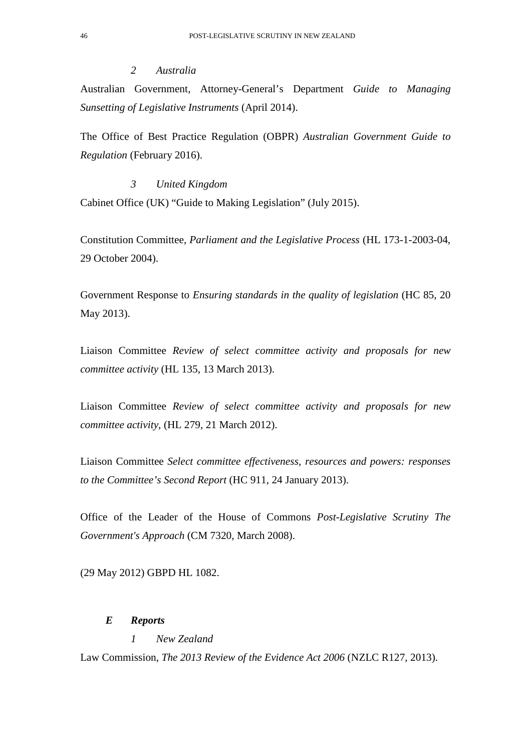### *2 Australia*

Australian Government, Attorney-General's Department *Guide to Managing Sunsetting of Legislative Instruments* (April 2014).

The Office of Best Practice Regulation (OBPR) *Australian Government Guide to Regulation* (February 2016).

### *3 United Kingdom*

Cabinet Office (UK) "Guide to Making Legislation" (July 2015).

Constitution Committee, *Parliament and the Legislative Process* (HL 173-1-2003-04, 29 October 2004).

Government Response to *Ensuring standards in the quality of legislation* (HC 85, 20 May 2013).

Liaison Committee *Review of select committee activity and proposals for new committee activity* (HL 135, 13 March 2013).

Liaison Committee *Review of select committee activity and proposals for new committee activity*, (HL 279, 21 March 2012).

Liaison Committee *Select committee effectiveness, resources and powers: responses to the Committee's Second Report* (HC 911, 24 January 2013).

Office of the Leader of the House of Commons *Post-Legislative Scrutiny The Government's Approach* (CM 7320, March 2008).

(29 May 2012) GBPD HL 1082.

### *E Reports*

### *1 New Zealand*

Law Commission, *The 2013 Review of the Evidence Act 2006* (NZLC R127, 2013).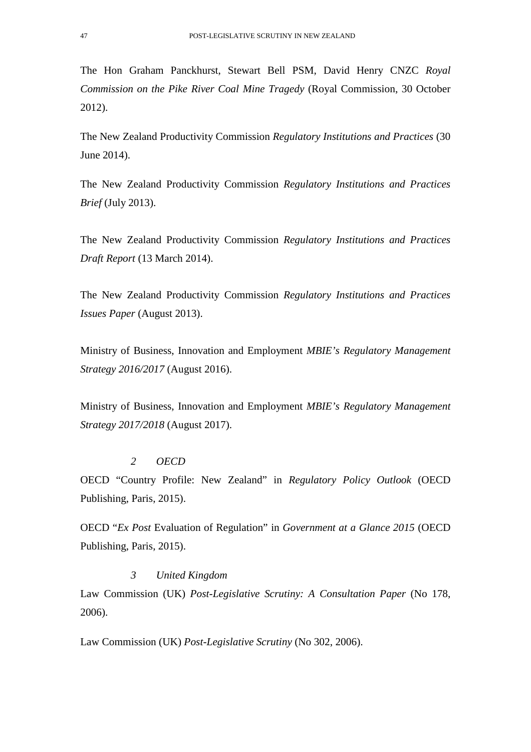The Hon Graham Panckhurst, Stewart Bell PSM, David Henry CNZC *Royal Commission on the Pike River Coal Mine Tragedy* (Royal Commission, 30 October 2012).

The New Zealand Productivity Commission *Regulatory Institutions and Practices* (30 June 2014).

The New Zealand Productivity Commission *Regulatory Institutions and Practices Brief* (July 2013).

The New Zealand Productivity Commission *Regulatory Institutions and Practices Draft Report* (13 March 2014).

The New Zealand Productivity Commission *Regulatory Institutions and Practices Issues Paper* (August 2013).

Ministry of Business, Innovation and Employment *MBIE's Regulatory Management Strategy 2016/2017* (August 2016).

Ministry of Business, Innovation and Employment *MBIE's Regulatory Management Strategy 2017/2018* (August 2017).

#### *2 OECD*

OECD "Country Profile: New Zealand" in *Regulatory Policy Outlook* (OECD Publishing, Paris, 2015).

OECD "*Ex Post* Evaluation of Regulation" in *Government at a Glance 2015* (OECD Publishing, Paris, 2015).

# *3 United Kingdom*

Law Commission *(UK) Post-Legislative Scrutiny: A Consultation Paper (No 178,* 2006).

Law Commission (UK) *Post-Legislative Scrutiny* (No 302, 2006).